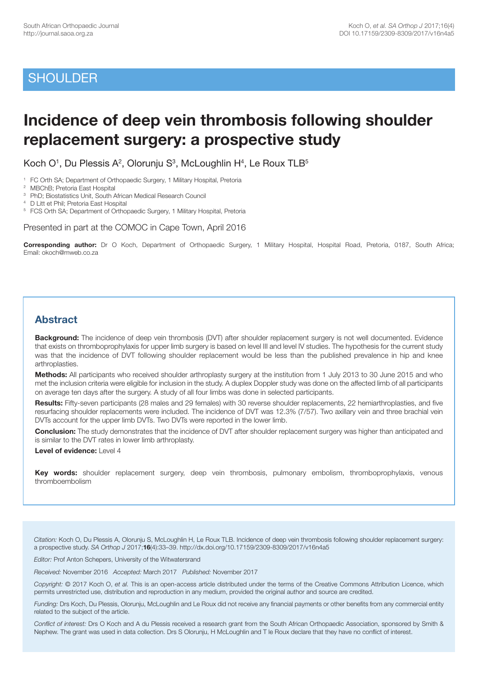# **SHOULDER**

# **Incidence of deep vein thrombosis following shoulder replacement surgery: a prospective study**

Koch  $O<sup>1</sup>$ , Du Plessis A<sup>2</sup>, Olorunju S<sup>3</sup>, McLoughlin H<sup>4</sup>, Le Roux TLB<sup>5</sup>

<sup>1</sup> FC Orth SA; Department of Orthopaedic Surgery, 1 Military Hospital, Pretoria

2 MBChB; Pretoria East Hospital

3 PhD; Biostatistics Unit, South African Medical Research Council

4 D Litt et Phil; Pretoria East Hospital

<sup>5</sup> FCS Orth SA; Department of Orthopaedic Surgery, 1 Military Hospital, Pretoria

Presented in part at the COMOC in Cape Town, April 2016

**Corresponding author:** Dr O Koch, Department of Orthopaedic Surgery, 1 Military Hospital, Hospital Road, Pretoria, 0187, South Africa; Email: okoch@mweb.co.za

# **Abstract**

**Background:** The incidence of deep vein thrombosis (DVT) after shoulder replacement surgery is not well documented. Evidence that exists on thromboprophylaxis for upper limb surgery is based on level III and level IV studies. The hypothesis for the current study was that the incidence of DVT following shoulder replacement would be less than the published prevalence in hip and knee arthroplasties.

**Methods:** All participants who received shoulder arthroplasty surgery at the institution from 1 July 2013 to 30 June 2015 and who met the inclusion criteria were eligible for inclusion in the study. A duplex Doppler study was done on the affected limb of all participants on average ten days after the surgery. A study of all four limbs was done in selected participants.

**Results:** Fifty-seven participants (28 males and 29 females) with 30 reverse shoulder replacements, 22 hemiarthroplasties, and five resurfacing shoulder replacements were included. The incidence of DVT was 12.3% (7/57). Two axillary vein and three brachial vein DVTs account for the upper limb DVTs. Two DVTs were reported in the lower limb.

**Conclusion:** The study demonstrates that the incidence of DVT after shoulder replacement surgery was higher than anticipated and is similar to the DVT rates in lower limb arthroplasty.

**Level of evidence:** Level 4

**Key words:** shoulder replacement surgery, deep vein thrombosis, pulmonary embolism, thromboprophylaxis, venous thromboembolism

*Citation:* Koch O, Du Plessis A, Olorunju S, McLoughlin H, Le Roux TLB. Incidence of deep vein thrombosis following shoulder replacement surgery: a prospective study. *SA Orthop J* 2017;**16**(4):33–39. http://dx.doi.org/10.17159/2309-8309/2017/v16n4a5

*Editor:* Prof Anton Schepers, University of the Witwatersrand

*Received:* November 2016 *Accepted:* March 2017 *Published:* November 2017

*Copyright:* © 2017 Koch O, *et al.* This is an open-access article distributed under the terms of the Creative Commons Attribution Licence, which permits unrestricted use, distribution and reproduction in any medium, provided the original author and source are credited.

*Funding:* Drs Koch, Du Plessis, Olorunju, McLoughlin and Le Roux did not receive any financial payments or other benefits from any commercial entity related to the subject of the article.

*Conflict of interest:* Drs O Koch and A du Plessis received a research grant from the South African Orthopaedic Association, sponsored by Smith & Nephew. The grant was used in data collection. Drs S Olorunju, H McLoughlin and T le Roux declare that they have no conflict of interest.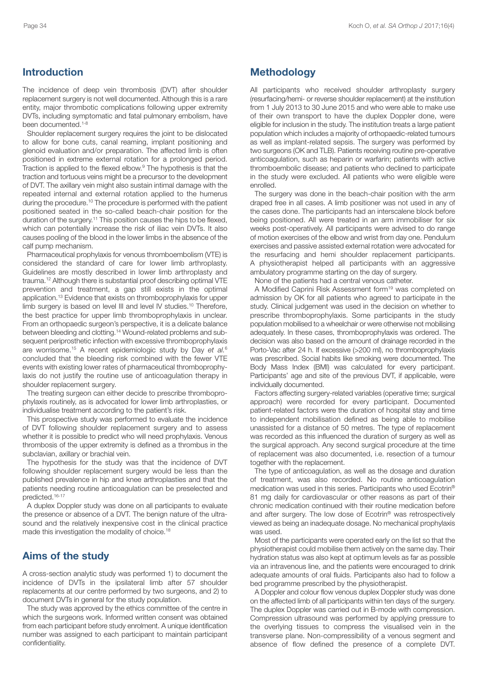### **Introduction**

The incidence of deep vein thrombosis (DVT) after shoulder replacement surgery is not well documented. Although this is a rare entity, major thrombotic complications following upper extremity DVTs, including symptomatic and fatal pulmonary embolism, have been documented. 1-8

Shoulder replacement surgery requires the joint to be dislocated to allow for bone cuts, canal reaming, implant positioning and glenoid evaluation and/or preparation. The affected limb is often positioned in extreme external rotation for a prolonged period. Traction is applied to the flexed elbow. <sup>9</sup> The hypothesis is that the traction and tortuous veins might be a precursor to the development of DVT. The axillary vein might also sustain intimal damage with the repeated internal and external rotation applied to the humerus during the procedure.<sup>10</sup> The procedure is performed with the patient positioned seated in the so-called beach-chair position for the duration of the surgery. <sup>11</sup> This position causes the hips to be flexed, which can potentially increase the risk of iliac vein DVTs. It also causes pooling of the blood in the lower limbs in the absence of the calf pump mechanism.

Pharmaceutical prophylaxis for venous thromboembolism (VTE) is considered the standard of care for lower limb arthroplasty. Guidelines are mostly described in lower limb arthroplasty and trauma. <sup>12</sup> Although there is substantial proof describing optimal VTE prevention and treatment, a gap still exists in the optimal application. <sup>13</sup> Evidence that exists on thromboprophylaxis for upper limb surgery is based on level III and level IV studies. <sup>10</sup> Therefore, the best practice for upper limb thromboprophylaxis in unclear. From an orthopaedic surgeon's perspective, it is a delicate balance between bleeding and clotting. <sup>14</sup> Wound-related problems and subsequent periprosthetic infection with excessive thromboprophylaxis are worrisome. <sup>15</sup> A recent epidemiologic study by Day *et al.* 6 concluded that the bleeding risk combined with the fewer VTE events with existing lower rates of pharmaceutical thromboprophylaxis do not justify the routine use of anticoagulation therapy in shoulder replacement surgery.

The treating surgeon can either decide to prescribe thromboprophylaxis routinely, as is advocated for lower limb arthroplasties, or individualise treatment according to the patient's risk.

This prospective study was performed to evaluate the incidence of DVT following shoulder replacement surgery and to assess whether it is possible to predict who will need prophylaxis. Venous thrombosis of the upper extremity is defined as a thrombus in the subclavian, axillary or brachial vein.

The hypothesis for the study was that the incidence of DVT following shoulder replacement surgery would be less than the published prevalence in hip and knee arthroplasties and that the patients needing routine anticoagulation can be preselected and predicted. 16-17

A duplex Doppler study was done on all participants to evaluate the presence or absence of a DVT. The benign nature of the ultrasound and the relatively inexpensive cost in the clinical practice made this investigation the modality of choice.<sup>18</sup>

### **Aims of the study**

A cross-section analytic study was performed 1) to document the incidence of DVTs in the ipsilateral limb after 57 shoulder replacements at our centre performed by two surgeons, and 2) to document DVTs in general for the study population.

The study was approved by the ethics committee of the centre in which the surgeons work. Informed written consent was obtained from each participant before study enrolment. A unique identification number was assigned to each participant to maintain participant confidentiality.

#### **Methodology**

All participants who received shoulder arthroplasty surgery (resurfacing/hemi- or reverse shoulder replacement) at the institution from 1 July 2013 to 30 June 2015 and who were able to make use of their own transport to have the duplex Doppler done, were eligible for inclusion in the study. The institution treats a large patient population which includes a majority of orthopaedic-related tumours as well as implant-related sepsis. The surgery was performed by two surgeons (OK and TLB). Patients receiving routine pre-operative anticoagulation, such as heparin or warfarin; patients with active thromboembolic disease; and patients who declined to participate in the study were excluded. All patients who were eligible were enrolled.

The surgery was done in the beach-chair position with the arm draped free in all cases. A limb positioner was not used in any of the cases done. The participants had an interscalene block before being positioned. All were treated in an arm immobiliser for six weeks post-operatively. All participants were advised to do range of motion exercises of the elbow and wrist from day one. Pendulum exercises and passive assisted external rotation were advocated for the resurfacing and hemi shoulder replacement participants. A physiotherapist helped all participants with an aggressive ambulatory programme starting on the day of surgery.

None of the patients had a central venous catheter.

A Modified Caprini Risk Assessment form<sup>19</sup> was completed on admission by OK for all patients who agreed to participate in the study. Clinical judgement was used in the decision on whether to prescribe thromboprophylaxis. Some participants in the study population mobilised to a wheelchair or were otherwise not mobilising adequately. In these cases, thromboprophylaxis was ordered. The decision was also based on the amount of drainage recorded in the Porto-Vac after 24 h. If excessive (>200 ml), no thromboprophylaxis was prescribed. Social habits like smoking were documented. The Body Mass Index (BMI) was calculated for every participant. Participants' age and site of the previous DVT, if applicable, were individually documented.

Factors affecting surgery-related variables (operative time; surgical approach) were recorded for every participant. Documented patient-related factors were the duration of hospital stay and time to independent mobilisation defined as being able to mobilise unassisted for a distance of 50 metres. The type of replacement was recorded as this influenced the duration of surgery as well as the surgical approach. Any second surgical procedure at the time of replacement was also documented, i.e. resection of a tumour together with the replacement.

The type of anticoagulation, as well as the dosage and duration of treatment, was also recorded. No routine anticoagulation medication was used in this series. Participants who used Ecotrin® 81 mg daily for cardiovascular or other reasons as part of their chronic medication continued with their routine medication before and after surgery. The low dose of Ecotrin® was retrospectively viewed as being an inadequate dosage. No mechanical prophylaxis was used.

Most of the participants were operated early on the list so that the physiotherapist could mobilise them actively on the same day. Their hydration status was also kept at optimum levels as far as possible via an intravenous line, and the patients were encouraged to drink adequate amounts of oral fluids. Participants also had to follow a bed programme prescribed by the physiotherapist.

A Doppler and colour flow venous duplex Doppler study was done on the affected limb of all participants within ten days of the surgery. The duplex Doppler was carried out in B-mode with compression. Compression ultrasound was performed by applying pressure to the overlying tissues to compress the visualised vein in the transverse plane. Non-compressibility of a venous segment and absence of flow defined the presence of a complete DVT.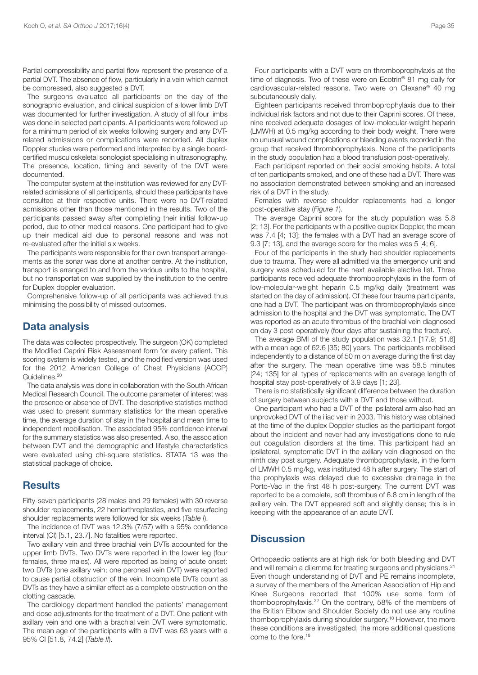Partial compressibility and partial flow represent the presence of a partial DVT. The absence of flow, particularly in a vein which cannot be compressed, also suggested a DVT.

The surgeons evaluated all participants on the day of the sonographic evaluation, and clinical suspicion of a lower limb DVT was documented for further investigation. A study of all four limbs was done in selected participants. All participants were followed up for a minimum period of six weeks following surgery and any DVTrelated admissions or complications were recorded. All duplex Doppler studies were performed and interpreted by a single boardcertified musculoskeletal sonologist specialising in ultrasonography. The presence, location, timing and severity of the DVT were documented.

The computer system at the institution was reviewed for any DVTrelated admissions of all participants, should these participants have consulted at their respective units. There were no DVT-related admissions other than those mentioned in the results. Two of the participants passed away after completing their initial follow-up period, due to other medical reasons. One participant had to give up their medical aid due to personal reasons and was not re-evaluated after the initial six weeks.

The participants were responsible for their own transport arrangements as the sonar was done at another centre. At the institution, transport is arranged to and from the various units to the hospital, but no transportation was supplied by the institution to the centre for Duplex doppler evaluation.

Comprehensive follow-up of all participants was achieved thus minimising the possibility of missed outcomes.

#### **Data analysis**

The data was collected prospectively. The surgeon (OK) completed the Modified Caprini Risk Assessment form for every patient. This scoring system is widely tested, and the modified version was used for the 2012 American College of Chest Physicians (ACCP) Guidelines. 20

The data analysis was done in collaboration with the South African Medical Research Council. The outcome parameter of interest was the presence or absence of DVT. The descriptive statistics method was used to present summary statistics for the mean operative time, the average duration of stay in the hospital and mean time to independent mobilisation. The associated 95% confidence interval for the summary statistics was also presented. Also, the association between DVT and the demographic and lifestyle characteristics were evaluated using chi-square statistics. STATA 13 was the statistical package of choice.

#### **Results**

Fifty-seven participants (28 males and 29 females) with 30 reverse shoulder replacements, 22 hemiarthroplasties, and five resurfacing shoulder replacements were followed for six weeks (*Table I*).

The incidence of DVT was 12.3% (7/57) with a 95% confidence interval (CI) [5.1, 23.7]. No fatalities were reported.

Two axillary vein and three brachial vein DVTs accounted for the upper limb DVTs. Two DVTs were reported in the lower leg (four females, three males). All were reported as being of acute onset: two DVTs (one axillary vein; one peroneal vein DVT) were reported to cause partial obstruction of the vein. Incomplete DVTs count as DVTs as they have a similar effect as a complete obstruction on the clotting cascade.

The cardiology department handled the patients' management and dose adjustments for the treatment of a DVT. One patient with axillary vein and one with a brachial vein DVT were symptomatic. The mean age of the participants with a DVT was 63 years with a 95% CI [51.8, 74.2] (*Table II*).

Four participants with a DVT were on thromboprophylaxis at the time of diagnosis. Two of these were on Ecotrin® 81 mg daily for cardiovascular-related reasons. Two were on Clexane® 40 mg subcutaneously daily.

Eighteen participants received thromboprophylaxis due to their individual risk factors and not due to their Caprini scores. Of these, nine received adequate dosages of low-molecular-weight heparin (LMWH) at 0.5 mg/kg according to their body weight. There were no unusual wound complications or bleeding events recorded in the group that received thromboprophylaxis. None of the participants in the study population had a blood transfusion post-operatively.

Each participant reported on their social smoking habits. A total of ten participants smoked, and one of these had a DVT. There was no association demonstrated between smoking and an increased risk of a DVT in the study.

Females with reverse shoulder replacements had a longer post-operative stay (*Figure 1*).

The average Caprini score for the study population was 5.8 [2; 13]. For the participants with a positive duplex Doppler, the mean was 7.4 [4; 13]; the females with a DVT had an average score of 9.3 [7; 13], and the average score for the males was 5 [4; 6].

Four of the participants in the study had shoulder replacements due to trauma. They were all admitted via the emergency unit and surgery was scheduled for the next available elective list. Three participants received adequate thromboprophylaxis in the form of low-molecular-weight heparin 0.5 mg/kg daily (treatment was started on the day of admission). Of these four trauma participants, one had a DVT. The participant was on thromboprophylaxis since admission to the hospital and the DVT was symptomatic. The DVT was reported as an acute thrombus of the brachial vein diagnosed on day 3 post-operatively (four days after sustaining the fracture).

The average BMI of the study population was 32.1 [17.9; 51.6] with a mean age of 62.6 [35; 80] years. The participants mobilised independently to a distance of 50 m on average during the first day after the surgery. The mean operative time was 58.5 minutes [24; 135] for all types of replacements with an average length of hospital stay post-operatively of 3.9 days [1; 23].

There is no statistically significant difference between the duration of surgery between subjects with a DVT and those without.

One participant who had a DVT of the ipsilateral arm also had an unprovoked DVT of the iliac vein in 2003. This history was obtained at the time of the duplex Doppler studies as the participant forgot about the incident and never had any investigations done to rule out coagulation disorders at the time. This participant had an ipsilateral, symptomatic DVT in the axillary vein diagnosed on the ninth day post surgery. Adequate thromboprophylaxis, in the form of LMWH 0.5 mg/kg, was instituted 48 h after surgery. The start of the prophylaxis was delayed due to excessive drainage in the Porto-Vac in the first 48 h post-surgery. The current DVT was reported to be a complete, soft thrombus of 6.8 cm in length of the axillary vein. The DVT appeared soft and slightly dense; this is in keeping with the appearance of an acute DVT.

# **Discussion**

Orthopaedic patients are at high risk for both bleeding and DVT and will remain a dilemma for treating surgeons and physicians.<sup>21</sup> Even though understanding of DVT and PE remains incomplete, a survey of the members of the American Association of Hip and Knee Surgeons reported that 100% use some form of thomboprophylaxis. <sup>22</sup> On the contrary, 58% of the members of the British Elbow and Shoulder Society do not use any routine thomboprophylaxis during shoulder surgery. <sup>10</sup> However, the more these conditions are investigated, the more additional questions come to the fore. 18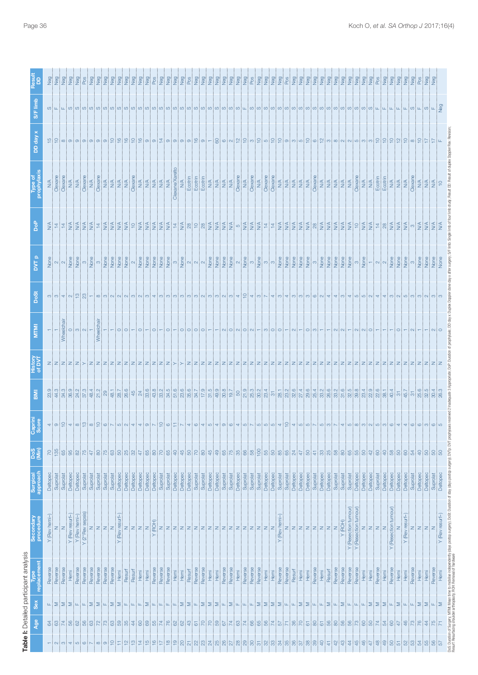| Neg<br>Neg<br>Neg<br>Neg<br>Pos<br>Neg<br>Neg<br>Neg<br>Neg<br>Neg<br>Neg<br>ped<br>geN<br>ped<br><b>DeD</b><br><b>DeD</b><br>DeD<br>N<br>Pos<br><b>DeD</b><br>ped<br><b>DeD</b><br>Pos<br>Neg<br>ped<br><b>DeD</b><br>ped<br><b>Dep</b><br><b>DeD</b><br><b>Deo</b><br><b>Dep</b><br>peD<br>N<br><b>DeO</b><br><b>Dep</b><br>DeD<br>N<br>Neg<br>geD<br>Neg<br>DeD<br>N<br><b>DeD</b><br><b>DeD</b><br>Neg<br><b>DeD</b><br>Pos<br>P <sub>SD</sub><br>P <sub>SD</sub><br>Dep<br>N<br>Dep<br>N<br>Pos<br>pe<br>N<br>P <sub>os</sub><br>oo<br>Z<br>neg<br>N<br>$\frac{1}{2}$<br>ped<br>P <sub>os</sub><br>S/F limb<br>P <sub>80</sub><br>$\textcircled{a}[\textcircled{b}[\textcircled{b}[\textcircled{b}[\textcircled{b}[\textcircled{b}[\textcircled{b}[\textcircled{b}[\textcircled{b}[\textcircled{b}[\textcircled{b}[\textcircled{b}[\textcircled{b}[\textcircled{b}[\textcircled{b}[\textcircled{b}[\textcircled{b}[\textcircled{b}[\textcircled{b}[\textcircled{b}[\textcircled{b}[\textcircled{b}[\textcircled{b}[\textcircled{b}[\textcircled{b}[\textcircled{b}[\textcircled{b}[\textcircled{b}[\textcircled{b}[\textcircled{b}[\textcircled{b}[\textcirc$<br>DD day x<br>ட்ட<br>Clexane/Xarelto<br>Clexane<br>Clexane<br>Clexane<br>Clexane<br>Clexane<br>Clexane<br>Clexane<br>Clexane<br>Clexane<br>Clexane<br>Clexane<br>Ecotrin<br>Ecotrin<br>Ecotrin<br>Ecotrin<br>Ecotrin<br>Clexan<br>$\frac{\mathbb{A}}{\mathbb{A}}$<br>$\mathop{\mathsf{N}}\nolimits$<br>$\frac{\mathbb{A}}{\mathbb{A}}$<br>$\begin{array}{c}\n 1 \leq \ 1 \leq \ 1 \leq \ 1 \leq \end{array}$<br>$\begin{array}{c}\n 1 \leq \ 1 \leq \ 1 \leq \ 1 \leq \end{array}$<br>$\frac{\mathbb{A}}{\mathbb{A}}$<br>$\mathbb{N}\mathbb{A}$<br>$\frac{\mathsf{N}}{\mathsf{N}}$<br>$\frac{4}{2}$<br>N/A<br>$\frac{4}{2}$<br>I≦<br>ZI≦<br>N/A<br>$\frac{\mathsf{A}}{\mathsf{N}}$<br>$\frac{4}{2}$<br>N/A<br>$\frac{1}{2}$<br>N/A<br><b>N/A</b><br>N/A<br>N/A<br>$\frac{\mathbb{A}}{\mathbb{A}}$<br>$\frac{1}{2}$<br>$\stackrel{\leq}{\geq}$<br>N/A<br>$\stackrel{\leq}{\geq}$<br>$\frac{\triangleleft}{\triangle}$<br>N/A<br>$\stackrel{\leq}{\geq}$<br><b>N/A</b><br>$\frac{4}{2}$<br>$\frac{4}{5}$<br><b>NA</b><br>$\supseteq$<br>rophy<br>နိ<br>$\stackrel{\triangle}{\geq}$<br>$\frac{4}{\sqrt{2}}$<br>$\stackrel{\triangle}{\geq}$<br>$\frac{4}{2}$<br>35505<br>$\frac{4}{2}$ 8<br>[≨] 위<br>$\frac{1}{4}$ $\frac{5}{4}$<br>$\frac{4}{2}$<br>$\frac{4}{2}$<br>$\frac{\mathcal{A}}{\mathcal{D}}$<br>$\frac{4}{2}$<br>$\frac{\mathcal{A}}{\mathcal{D}}$<br>$\frac{4}{2}$<br><b>NA</b><br>$\frac{1}{2}$ $\frac{1}{4}$<br>$\leq$ $\approx$ $\approx$ $\approx$<br>l≸≷<br>$\frac{1}{4}$ $\frac{5}{4}$<br>$\frac{4}{2}$<br>$\frac{4}{2}$<br>$\frac{4}{\sqrt{2}}$<br>$rac{4}{2}$<br>$\frac{4}{2}$<br>$\frac{4}{2}$<br><b>NA</b><br>$\frac{1}{4}$ 8<br>$rac{4}{2}$<br>$\frac{4}{2}$<br>∣ო∣≸<br>$\frac{4}{5}$<br>$\frac{4}{2}$<br>$\frac{14}{1}$<br>ia<br>E<br>$rac{4}{2}$<br>None<br>None<br>None<br>None<br>None<br>None<br>None<br>None<br>None<br>None<br>None<br>None<br>None<br>$\frac{a}{2}$<br>None<br>None<br>None<br>None<br>None<br>None<br>None<br>None<br>None<br>None<br>None<br>None<br>None<br>None<br>None<br>None<br>None<br>None<br>None<br>None<br>None<br>None<br>None<br>None<br>ξ<br>$N$ $\sim$<br>$_{\odot}$<br>$\infty$<br>$\infty$<br>$N$ $\sim$<br>က<br>$N = N$<br>က<br>က $\sim$<br>က<br>$\sim$<br>÷<br>က<br><b>S</b> og<br>$\omega$ $\omega$ $\sim$ $\omega$ $\omega$ $\omega$<br>$ \infty$ $\infty$ $\sim$ $\infty$ $\infty$ $\infty$<br>$\sim$<br>S<br>$\omega$ i $\omega$ i $\omega$ i $\omega$ i $\omega$ i $\omega$ i $\omega$ i $\omega$ i $\omega$<br>$u_i \omega_i$<br>S<br>co<br>S<br>$\infty$<br>$\circ$<br>$\omega$<br>$\omega$ :<br>တး<br><b>Niloim</b><br><u>minimim</u><br>4<br>$\overline{4}$<br>ത<br>$\sim$<br>က<br>4<br>4<br>Wheelchair<br>È<br>MINI<br>Wheelch<br>O  O <br>$\circ$<br>$\circ$<br>$\circ$<br>$\circ$<br>$\circ$<br>$\circ$<br>$\circ$<br>$\sim$<br>$O1$ $O1$<br>$\circ$<br>$\infty$<br>$\circ$<br>$\circ$<br>$\sim$<br>$\circ$<br>$\infty$<br>$\sim$<br>$\sim$<br>$\sim$<br>$\circ$<br>$\circ$<br>łС<br>$\circ$<br>◠<br>$\sim$<br>$\sim$<br>$\sim$<br>Z<br>৳<br>$24.3$<br>$37.3$<br>21.9<br>23.4<br>22.9<br>$4\frac{3}{3}8$<br>$\frac{48.4}{21.2}$<br>28.7<br>26.6<br>$\frac{4}{9}$ $\frac{2}{9}$<br>$8887$ $872$<br>23.2<br>32.6<br>22.6<br>38.1<br>25.6<br>rö.<br>26.3<br>$\mathbb{R}$ $\frac{1}{8}$<br>$\frac{4}{3}$ $\frac{8}{3}$ $\frac{8}{3}$ $\frac{8}{3}$<br>$\overline{\overline{\mathbf{a}}}$<br>$\mathbb{S}^3$<br>$\frac{\infty}{\infty}$<br>80<br>Capri<br>Scor<br>$\overline{4}$<br>$\circ$<br>₽.<br>$\overline{4}$<br>≌<br>$\infty$<br>은<br>$\circ$<br>$\circ$<br>$\circ$<br>LO <sub>.</sub><br>$\infty$<br>$\mathbf 0$<br>$\infty$<br>$\circ$<br>$\infty$<br>$\mathbb{C}$<br>4<br>4<br>$\circ$<br>G<br>4<br>O<br>4<br>S<br>$\circ$<br>$\circ$<br>4<br>S<br>S<br>S<br>S<br>4<br>4<br>S<br>S<br>S<br>S<br>4<br>5<br>$\infty$<br>က<br>$\sum_{i=1}^{n}$<br>$\overline{5}$<br>$\circ$<br>4<br>4<br>4<br><b>Dog</b><br>135<br>$\frac{8}{1}$<br>$\frac{1}{2}$<br>S.<br>$\overline{C}$<br>8<br>86<br>75<br>$\frac{5}{2}$<br>S.<br>$\otimes$<br>$\mathbb{R}$<br>්රි<br>$\Theta$<br>45<br>$\mathbb S$<br>$\approx$<br>ူ ဆ<br>$\frac{45}{5}$<br>  약  <br>89<br>55<br>$8^{\circ}$<br>ု့<br>85<br>$\overline{a}$<br>3888<br>8<br>$88$<br>  유<br>$\Theta$<br>18<br>18<br>8<br>388<br><u>នេ</u><br>$\infty$<br>8<br>$8^{\circ}$<br>88<br>47<br>8<br>8 <sup>1</sup><br>B.<br>$\pm$<br>န္တ<br>8<br>$\mathbb{R}$<br>$\frac{47}{2}$<br>Surgical<br>approach<br>Deltopec<br>Deltopec<br>Deltopec<br>Deltopec<br>Deltopec<br>Deltopec<br>Deltopec<br>Deltopec<br>Deltopec<br><b>Deltopec</b><br>Deltopec<br>Deltopec<br>Deltopec<br>Deltopec<br>Deltopec<br>Deltopec<br>Deltopec<br>Deltopec<br>Deltopec<br>Deltopec<br>Deltopec<br>Deltopec<br>Deltopec<br>Suprolat<br>Deltopec<br>Deltopec<br>Deltopec<br>Suprolat<br>Suprolat<br>Deltopec<br>Suprolat<br>Suprolat<br>Suprolat<br>Suprolat<br>Suprolat<br>Deltopec<br>Suprolat<br>Suprolat<br>Deltopec<br>Suprolat<br>Suprolat<br>Suprolat<br>Suprolat<br>Deltopec<br>Suprolat<br>Suprolat<br>Suprolat<br>Deltopec<br>Suprolat<br>Suprolat<br>Deltoped<br>Suprolat<br>Suprolat<br>Suprolat<br>Suprolat<br>Suprolat<br>Suprolat<br>Y (Resection tumour)<br>(Resection tumour)<br>Y (Resection tumour)<br>Y (2°Rev sepsis)<br>Y (Rev resurf-)<br>Y (Rev resurf-)<br>Y (Rev resurf-)<br>Y (Rev resurf-)<br>Y (Rev hemi-)<br>Y (Rev hemi-)<br>Y (Rev hemi-)<br>Secondary<br>Secondary<br>procedur<br>(ROH)<br>(ROH)<br> z <br>Z<br>ZZ<br>ZZ<br>$\mathsf{Z}% _{0}\!\left( \mathcal{A}_{0}\right) ^{T}\!\left( \mathcal{A}_{0}\right) ^{T}\!\left( \mathcal{A}_{0}\right) ^{T}\!\left( \mathcal{A}_{0}\right) ^{T}\!\left( \mathcal{A}_{0}\right) ^{T}\!\left( \mathcal{A}_{0}\right) ^{T}\!\left( \mathcal{A}_{0}\right) ^{T}\!\left( \mathcal{A}_{0}\right) ^{T}\!\left( \mathcal{A}_{0}\right) ^{T}\!\left( \mathcal{A}_{0}\right) ^{T}\!\left( \mathcal{A}_{0}\right) ^{T}\!\left( \mathcal{A}_{0}\right) ^{T}\!\left( \mathcal$<br>$Z$ $Z$<br>$\mathsf{Z}% _{0}\left( \mathsf{Z}\right)$<br>$Z$ $Z$<br>Z<br>Z<br>Z<br>$\mathsf{Z}% _{0}\!\left( \mathcal{A}_{0}\right) ^{T}\!\left( \mathcal{A}_{0}\right) ^{T}\!\left( \mathcal{A}_{0}\right) ^{T}\!\left( \mathcal{A}_{0}\right) ^{T}\!\left( \mathcal{A}_{0}\right) ^{T}\!\left( \mathcal{A}_{0}\right) ^{T}\!\left( \mathcal{A}_{0}\right) ^{T}\!\left( \mathcal{A}_{0}\right) ^{T}\!\left( \mathcal{A}_{0}\right) ^{T}\!\left( \mathcal{A}_{0}\right) ^{T}\!\left( \mathcal{A}_{0}\right) ^{T}\!\left( \mathcal{A}_{0}\right) ^{T}\!\left( \mathcal$<br>Z<br>$\mathbb{Z}$<br>$\mathbb{Z}$<br> z <br>z<br>Z<br> Z <br>$\mathsf Z$<br>z<br>$\mathsf{z}$<br>Z<br>$Z$ $Z$<br>z<br>z<br>$\mathbb{Z}$<br>Z<br>Z<br>Z<br>Z<br>Z<br>Z<br>z<br>Z<br>$\mathbb{Z}$<br>$\rightarrow$<br>$\rightarrow$<br>$\rightarrow$<br>replacement<br>Reverse<br>Reverse<br>Reverse<br>Reverse<br>Reverse<br>Reverse<br>Reverse<br>Reverse<br>Reverse<br>Reverse<br>Reverse<br>Reverse<br>Reverse<br>Reverse<br>Reverse<br>Reverse<br>Reverse<br>Reverse<br>Reverse<br>Reverse<br>Reverse<br>Reverse<br>Reverse<br>Reverse<br>Reverse<br>Reverse<br>Reverse<br>Reverse<br>Reverse<br>Reverse<br>Resurf<br>Resurf<br>Resurf<br>Resurf<br>Resurf<br>Hemi<br>Hemi<br>Hemi<br>Hemi<br>Hemi<br>Hemi<br>Hemi<br>Hemi<br>Hemi<br>Hemi<br>Hemi<br>Hemi<br>Hemi<br>Hemi<br>Hemi<br>Hemi<br>Hemi<br>Hemi<br>Hemi<br>Hemi<br>Hemi<br>Hemi<br><b>Sex</b><br>∑∶∑<br>$\geq$<br>$\geq$<br>$\geq$<br>$\sum$<br>$\geq$<br>$\geq$<br>Σ<br>Σ<br>$\geq$<br>$\geq$<br>Σ<br>Σ<br>$\geq$<br>$\geq$<br>Σ<br>⋝⋑<br>∣∑<br>$\sum$<br>Σ<br>$\mathsf{L}\mathsf{L}$<br>$\sqcup$<br>$\sqcup$<br>≅<br>Σ<br>$\geq$<br>Σ<br>$\sum$<br>Щ<br>$\geq$<br>$\geq$<br>Щ<br>Щ.<br>EЩ<br>Щ.<br>Щ<br>Щ<br>Щ<br>Щ.<br>Щ<br>Щ<br>Щ<br>Щ.<br>Щ<br>Щ<br>$\mathsf{L}\mathsf{L}$<br>Щ<br>Щ<br>Щ<br>$\sqcup\!\!\!\perp$<br>Щ<br>Щ<br>ш<br>$43$<br>$\overline{5}$<br>66<br>76<br>$R$ $R$ $3$ $R$<br>$\frac{44}{3}$<br>$\frac{8}{3}$<br>55<br>74<br>$\frac{1}{2}$<br>62<br>69<br>74<br>74<br>65<br>66<br>$\overline{7}$<br>$86$<br>$\overline{C}$<br>56<br>89<br>$\mathbb{Z}^3$<br>$\rm ^{\rm o}$<br>54<br>$60$<br>46<br>$\mathbb{R}^2$<br>75<br>788<br>68<br>$\mathbb{S}^3$<br>85<br>69<br>62<br>$\overline{2}$<br>အ<br>89<br>57<br>80<br>$\infty$<br>SO <sub>1</sub><br>$\overline{7}$<br>47<br>$\left  \frac{4}{4} \right $<br>98<br>$\overline{6}$<br>67<br>N,<br>$\overline{6}$<br>$\overline{\omega}$<br>N | <b>Age</b> |  |  |  |  |  |  |  |  |
|------------------------------------------------------------------------------------------------------------------------------------------------------------------------------------------------------------------------------------------------------------------------------------------------------------------------------------------------------------------------------------------------------------------------------------------------------------------------------------------------------------------------------------------------------------------------------------------------------------------------------------------------------------------------------------------------------------------------------------------------------------------------------------------------------------------------------------------------------------------------------------------------------------------------------------------------------------------------------------------------------------------------------------------------------------------------------------------------------------------------------------------------------------------------------------------------------------------------------------------------------------------------------------------------------------------------------------------------------------------------------------------------------------------------------------------------------------------------------------------------------------------------------------------------------------------------------------------------------------------------------------------------------------------------------------------------------------------------------------------------------------------------------------------------------------------------------------------------------------------------------------------------------------------------------------------------------------------------------------------------------------------------------------------------------------------------------------------------------------------------------------------------------------------------------------------------------------------------------------------------------------------------------------------------------------------------------------------------------------------------------------------------------------------------------------------------------------------------------------------------------------------------------------------------------------------------------------------------------------------------------------------------------------------------------------------------------------------------------------------------------------------------------------------------------------------------------------------------------------------------------------------------------------------------------------------------------------------------------------------------------------------------------------------------------------------------------------------------------------------------------------------------------------------------------------------------------------------------------------------------------------------------------------------------------------------------------------------------------------------------------------------------------------------------------------------------------------------------------------------------------------------------------------------------------------------------------------------------------------------------------------------------------------------------------------------------------------------------------------------------------------------------------------------------------------------------------------------------------------------------------------------------------------------------------------------------------------------------------------------------------------------------------------------------------------------------------------------------------------------------------------------------------------------------------------------------------------------------------------------------------------------------------------------------------------------------------------------------------------------------------------------------------------------------------------------------------------------------------------------------------------------------------------------------------------------------------------------------------------------------------------------------------------------------------------------------------------------------------------------------------------------------------------------------------------------------------------------------------------------------------------------------------------------------------------------------------------------------------------------------------------------------------------------------------------------------------------------------------------------------------------------------------------------------------------------------------------------------------------------------------------------------------------------------------------------------------------------------------------------------------------------------------------------------------------------------------------------------------------------------------------------------------------------------------------------------------------------------------------------------------------------------------------------------------------------------------------------------------------------------------------------------------------------------------------------------------------------------------------------------------------------------------------------------------------------------------------------------------------------------------------------------------------------------------------------------------------------------------------------------------------------------------------------------------------------------------------------------------------------------------------------------------------------------------------------------------------------------------------------------------------------------------------------------------------------------------------------------------------------------------------------------------------------------------------------------------------------------------------------------------------------------------------------------------------------------------------------------------------------------------------------------------------------------------------------------------------------------------------------------------------------------------------------------------------------------------------------------------------------------------------------------------------------------------------------------------------------------------------------------------------------------------------------------------------------------------------------------------------------------------------------------------------------------------------------------------------------------------------------------------------------------------------------------------------------------------------------------------------------------------------------------------------------------------------------------------------------------------------------------------------------------------------------------------------------------------------------------------------------------------------------------------------------------------------------------------------------------------------------------------------------------------------------------------------------------------------------------------------------------------------------------------------------------------------------------------------------------------------------------------------------------------------------------------------------------------------------------------------------------------------------------------------------------------------------------------------------------------------------------------------------------------------------------------------------------------------------------------------------------------------------------------------------------------------------------------------------------------------------------------------------------------------------------------------------------------------------------------------------------------------------------------------------------------------------------------------------------------------------------------------------------------------------------------------------------------------------------------------------------------------------------------------------------------------------------------------------------------------------------------------------------------------------------------------------------------------------------------------------------------------------------------------------------------------------------------------------------------------------------------------------------------------------------------------------------------------------------------------------------------------------------------------------------------------------|------------|--|--|--|--|--|--|--|--|
|                                                                                                                                                                                                                                                                                                                                                                                                                                                                                                                                                                                                                                                                                                                                                                                                                                                                                                                                                                                                                                                                                                                                                                                                                                                                                                                                                                                                                                                                                                                                                                                                                                                                                                                                                                                                                                                                                                                                                                                                                                                                                                                                                                                                                                                                                                                                                                                                                                                                                                                                                                                                                                                                                                                                                                                                                                                                                                                                                                                                                                                                                                                                                                                                                                                                                                                                                                                                                                                                                                                                                                                                                                                                                                                                                                                                                                                                                                                                                                                                                                                                                                                                                                                                                                                                                                                                                                                                                                                                                                                                                                                                                                                                                                                                                                                                                                                                                                                                                                                                                                                                                                                                                                                                                                                                                                                                                                                                                                                                                                                                                                                                                                                                                                                                                                                                                                                                                                                                                                                                                                                                                                                                                                                                                                                                                                                                                                                                                                                                                                                                                                                                                                                                                                                                                                                                                                                                                                                                                                                                                                                                                                                                                                                                                                                                                                                                                                                                                                                                                                                                                                                                                                                                                                                                                                                                                                                                                                                                                                                                                                                                                                                                                                                                                                                                                                                                                                                                                                                                                                                                                                                                                                                                                                                                                                                                                                                                                                                                                                                                                                                                                                                                                                                                                                                                                                                                                                                                                                                                                                                                                                  |            |  |  |  |  |  |  |  |  |
|                                                                                                                                                                                                                                                                                                                                                                                                                                                                                                                                                                                                                                                                                                                                                                                                                                                                                                                                                                                                                                                                                                                                                                                                                                                                                                                                                                                                                                                                                                                                                                                                                                                                                                                                                                                                                                                                                                                                                                                                                                                                                                                                                                                                                                                                                                                                                                                                                                                                                                                                                                                                                                                                                                                                                                                                                                                                                                                                                                                                                                                                                                                                                                                                                                                                                                                                                                                                                                                                                                                                                                                                                                                                                                                                                                                                                                                                                                                                                                                                                                                                                                                                                                                                                                                                                                                                                                                                                                                                                                                                                                                                                                                                                                                                                                                                                                                                                                                                                                                                                                                                                                                                                                                                                                                                                                                                                                                                                                                                                                                                                                                                                                                                                                                                                                                                                                                                                                                                                                                                                                                                                                                                                                                                                                                                                                                                                                                                                                                                                                                                                                                                                                                                                                                                                                                                                                                                                                                                                                                                                                                                                                                                                                                                                                                                                                                                                                                                                                                                                                                                                                                                                                                                                                                                                                                                                                                                                                                                                                                                                                                                                                                                                                                                                                                                                                                                                                                                                                                                                                                                                                                                                                                                                                                                                                                                                                                                                                                                                                                                                                                                                                                                                                                                                                                                                                                                                                                                                                                                                                                                                                  |            |  |  |  |  |  |  |  |  |
|                                                                                                                                                                                                                                                                                                                                                                                                                                                                                                                                                                                                                                                                                                                                                                                                                                                                                                                                                                                                                                                                                                                                                                                                                                                                                                                                                                                                                                                                                                                                                                                                                                                                                                                                                                                                                                                                                                                                                                                                                                                                                                                                                                                                                                                                                                                                                                                                                                                                                                                                                                                                                                                                                                                                                                                                                                                                                                                                                                                                                                                                                                                                                                                                                                                                                                                                                                                                                                                                                                                                                                                                                                                                                                                                                                                                                                                                                                                                                                                                                                                                                                                                                                                                                                                                                                                                                                                                                                                                                                                                                                                                                                                                                                                                                                                                                                                                                                                                                                                                                                                                                                                                                                                                                                                                                                                                                                                                                                                                                                                                                                                                                                                                                                                                                                                                                                                                                                                                                                                                                                                                                                                                                                                                                                                                                                                                                                                                                                                                                                                                                                                                                                                                                                                                                                                                                                                                                                                                                                                                                                                                                                                                                                                                                                                                                                                                                                                                                                                                                                                                                                                                                                                                                                                                                                                                                                                                                                                                                                                                                                                                                                                                                                                                                                                                                                                                                                                                                                                                                                                                                                                                                                                                                                                                                                                                                                                                                                                                                                                                                                                                                                                                                                                                                                                                                                                                                                                                                                                                                                                                                                  |            |  |  |  |  |  |  |  |  |
|                                                                                                                                                                                                                                                                                                                                                                                                                                                                                                                                                                                                                                                                                                                                                                                                                                                                                                                                                                                                                                                                                                                                                                                                                                                                                                                                                                                                                                                                                                                                                                                                                                                                                                                                                                                                                                                                                                                                                                                                                                                                                                                                                                                                                                                                                                                                                                                                                                                                                                                                                                                                                                                                                                                                                                                                                                                                                                                                                                                                                                                                                                                                                                                                                                                                                                                                                                                                                                                                                                                                                                                                                                                                                                                                                                                                                                                                                                                                                                                                                                                                                                                                                                                                                                                                                                                                                                                                                                                                                                                                                                                                                                                                                                                                                                                                                                                                                                                                                                                                                                                                                                                                                                                                                                                                                                                                                                                                                                                                                                                                                                                                                                                                                                                                                                                                                                                                                                                                                                                                                                                                                                                                                                                                                                                                                                                                                                                                                                                                                                                                                                                                                                                                                                                                                                                                                                                                                                                                                                                                                                                                                                                                                                                                                                                                                                                                                                                                                                                                                                                                                                                                                                                                                                                                                                                                                                                                                                                                                                                                                                                                                                                                                                                                                                                                                                                                                                                                                                                                                                                                                                                                                                                                                                                                                                                                                                                                                                                                                                                                                                                                                                                                                                                                                                                                                                                                                                                                                                                                                                                                                                  |            |  |  |  |  |  |  |  |  |
|                                                                                                                                                                                                                                                                                                                                                                                                                                                                                                                                                                                                                                                                                                                                                                                                                                                                                                                                                                                                                                                                                                                                                                                                                                                                                                                                                                                                                                                                                                                                                                                                                                                                                                                                                                                                                                                                                                                                                                                                                                                                                                                                                                                                                                                                                                                                                                                                                                                                                                                                                                                                                                                                                                                                                                                                                                                                                                                                                                                                                                                                                                                                                                                                                                                                                                                                                                                                                                                                                                                                                                                                                                                                                                                                                                                                                                                                                                                                                                                                                                                                                                                                                                                                                                                                                                                                                                                                                                                                                                                                                                                                                                                                                                                                                                                                                                                                                                                                                                                                                                                                                                                                                                                                                                                                                                                                                                                                                                                                                                                                                                                                                                                                                                                                                                                                                                                                                                                                                                                                                                                                                                                                                                                                                                                                                                                                                                                                                                                                                                                                                                                                                                                                                                                                                                                                                                                                                                                                                                                                                                                                                                                                                                                                                                                                                                                                                                                                                                                                                                                                                                                                                                                                                                                                                                                                                                                                                                                                                                                                                                                                                                                                                                                                                                                                                                                                                                                                                                                                                                                                                                                                                                                                                                                                                                                                                                                                                                                                                                                                                                                                                                                                                                                                                                                                                                                                                                                                                                                                                                                                                                  |            |  |  |  |  |  |  |  |  |
|                                                                                                                                                                                                                                                                                                                                                                                                                                                                                                                                                                                                                                                                                                                                                                                                                                                                                                                                                                                                                                                                                                                                                                                                                                                                                                                                                                                                                                                                                                                                                                                                                                                                                                                                                                                                                                                                                                                                                                                                                                                                                                                                                                                                                                                                                                                                                                                                                                                                                                                                                                                                                                                                                                                                                                                                                                                                                                                                                                                                                                                                                                                                                                                                                                                                                                                                                                                                                                                                                                                                                                                                                                                                                                                                                                                                                                                                                                                                                                                                                                                                                                                                                                                                                                                                                                                                                                                                                                                                                                                                                                                                                                                                                                                                                                                                                                                                                                                                                                                                                                                                                                                                                                                                                                                                                                                                                                                                                                                                                                                                                                                                                                                                                                                                                                                                                                                                                                                                                                                                                                                                                                                                                                                                                                                                                                                                                                                                                                                                                                                                                                                                                                                                                                                                                                                                                                                                                                                                                                                                                                                                                                                                                                                                                                                                                                                                                                                                                                                                                                                                                                                                                                                                                                                                                                                                                                                                                                                                                                                                                                                                                                                                                                                                                                                                                                                                                                                                                                                                                                                                                                                                                                                                                                                                                                                                                                                                                                                                                                                                                                                                                                                                                                                                                                                                                                                                                                                                                                                                                                                                                                  |            |  |  |  |  |  |  |  |  |
|                                                                                                                                                                                                                                                                                                                                                                                                                                                                                                                                                                                                                                                                                                                                                                                                                                                                                                                                                                                                                                                                                                                                                                                                                                                                                                                                                                                                                                                                                                                                                                                                                                                                                                                                                                                                                                                                                                                                                                                                                                                                                                                                                                                                                                                                                                                                                                                                                                                                                                                                                                                                                                                                                                                                                                                                                                                                                                                                                                                                                                                                                                                                                                                                                                                                                                                                                                                                                                                                                                                                                                                                                                                                                                                                                                                                                                                                                                                                                                                                                                                                                                                                                                                                                                                                                                                                                                                                                                                                                                                                                                                                                                                                                                                                                                                                                                                                                                                                                                                                                                                                                                                                                                                                                                                                                                                                                                                                                                                                                                                                                                                                                                                                                                                                                                                                                                                                                                                                                                                                                                                                                                                                                                                                                                                                                                                                                                                                                                                                                                                                                                                                                                                                                                                                                                                                                                                                                                                                                                                                                                                                                                                                                                                                                                                                                                                                                                                                                                                                                                                                                                                                                                                                                                                                                                                                                                                                                                                                                                                                                                                                                                                                                                                                                                                                                                                                                                                                                                                                                                                                                                                                                                                                                                                                                                                                                                                                                                                                                                                                                                                                                                                                                                                                                                                                                                                                                                                                                                                                                                                                                                  |            |  |  |  |  |  |  |  |  |
|                                                                                                                                                                                                                                                                                                                                                                                                                                                                                                                                                                                                                                                                                                                                                                                                                                                                                                                                                                                                                                                                                                                                                                                                                                                                                                                                                                                                                                                                                                                                                                                                                                                                                                                                                                                                                                                                                                                                                                                                                                                                                                                                                                                                                                                                                                                                                                                                                                                                                                                                                                                                                                                                                                                                                                                                                                                                                                                                                                                                                                                                                                                                                                                                                                                                                                                                                                                                                                                                                                                                                                                                                                                                                                                                                                                                                                                                                                                                                                                                                                                                                                                                                                                                                                                                                                                                                                                                                                                                                                                                                                                                                                                                                                                                                                                                                                                                                                                                                                                                                                                                                                                                                                                                                                                                                                                                                                                                                                                                                                                                                                                                                                                                                                                                                                                                                                                                                                                                                                                                                                                                                                                                                                                                                                                                                                                                                                                                                                                                                                                                                                                                                                                                                                                                                                                                                                                                                                                                                                                                                                                                                                                                                                                                                                                                                                                                                                                                                                                                                                                                                                                                                                                                                                                                                                                                                                                                                                                                                                                                                                                                                                                                                                                                                                                                                                                                                                                                                                                                                                                                                                                                                                                                                                                                                                                                                                                                                                                                                                                                                                                                                                                                                                                                                                                                                                                                                                                                                                                                                                                                                                  |            |  |  |  |  |  |  |  |  |
|                                                                                                                                                                                                                                                                                                                                                                                                                                                                                                                                                                                                                                                                                                                                                                                                                                                                                                                                                                                                                                                                                                                                                                                                                                                                                                                                                                                                                                                                                                                                                                                                                                                                                                                                                                                                                                                                                                                                                                                                                                                                                                                                                                                                                                                                                                                                                                                                                                                                                                                                                                                                                                                                                                                                                                                                                                                                                                                                                                                                                                                                                                                                                                                                                                                                                                                                                                                                                                                                                                                                                                                                                                                                                                                                                                                                                                                                                                                                                                                                                                                                                                                                                                                                                                                                                                                                                                                                                                                                                                                                                                                                                                                                                                                                                                                                                                                                                                                                                                                                                                                                                                                                                                                                                                                                                                                                                                                                                                                                                                                                                                                                                                                                                                                                                                                                                                                                                                                                                                                                                                                                                                                                                                                                                                                                                                                                                                                                                                                                                                                                                                                                                                                                                                                                                                                                                                                                                                                                                                                                                                                                                                                                                                                                                                                                                                                                                                                                                                                                                                                                                                                                                                                                                                                                                                                                                                                                                                                                                                                                                                                                                                                                                                                                                                                                                                                                                                                                                                                                                                                                                                                                                                                                                                                                                                                                                                                                                                                                                                                                                                                                                                                                                                                                                                                                                                                                                                                                                                                                                                                                                                  |            |  |  |  |  |  |  |  |  |
|                                                                                                                                                                                                                                                                                                                                                                                                                                                                                                                                                                                                                                                                                                                                                                                                                                                                                                                                                                                                                                                                                                                                                                                                                                                                                                                                                                                                                                                                                                                                                                                                                                                                                                                                                                                                                                                                                                                                                                                                                                                                                                                                                                                                                                                                                                                                                                                                                                                                                                                                                                                                                                                                                                                                                                                                                                                                                                                                                                                                                                                                                                                                                                                                                                                                                                                                                                                                                                                                                                                                                                                                                                                                                                                                                                                                                                                                                                                                                                                                                                                                                                                                                                                                                                                                                                                                                                                                                                                                                                                                                                                                                                                                                                                                                                                                                                                                                                                                                                                                                                                                                                                                                                                                                                                                                                                                                                                                                                                                                                                                                                                                                                                                                                                                                                                                                                                                                                                                                                                                                                                                                                                                                                                                                                                                                                                                                                                                                                                                                                                                                                                                                                                                                                                                                                                                                                                                                                                                                                                                                                                                                                                                                                                                                                                                                                                                                                                                                                                                                                                                                                                                                                                                                                                                                                                                                                                                                                                                                                                                                                                                                                                                                                                                                                                                                                                                                                                                                                                                                                                                                                                                                                                                                                                                                                                                                                                                                                                                                                                                                                                                                                                                                                                                                                                                                                                                                                                                                                                                                                                                                                  |            |  |  |  |  |  |  |  |  |
|                                                                                                                                                                                                                                                                                                                                                                                                                                                                                                                                                                                                                                                                                                                                                                                                                                                                                                                                                                                                                                                                                                                                                                                                                                                                                                                                                                                                                                                                                                                                                                                                                                                                                                                                                                                                                                                                                                                                                                                                                                                                                                                                                                                                                                                                                                                                                                                                                                                                                                                                                                                                                                                                                                                                                                                                                                                                                                                                                                                                                                                                                                                                                                                                                                                                                                                                                                                                                                                                                                                                                                                                                                                                                                                                                                                                                                                                                                                                                                                                                                                                                                                                                                                                                                                                                                                                                                                                                                                                                                                                                                                                                                                                                                                                                                                                                                                                                                                                                                                                                                                                                                                                                                                                                                                                                                                                                                                                                                                                                                                                                                                                                                                                                                                                                                                                                                                                                                                                                                                                                                                                                                                                                                                                                                                                                                                                                                                                                                                                                                                                                                                                                                                                                                                                                                                                                                                                                                                                                                                                                                                                                                                                                                                                                                                                                                                                                                                                                                                                                                                                                                                                                                                                                                                                                                                                                                                                                                                                                                                                                                                                                                                                                                                                                                                                                                                                                                                                                                                                                                                                                                                                                                                                                                                                                                                                                                                                                                                                                                                                                                                                                                                                                                                                                                                                                                                                                                                                                                                                                                                                                                  |            |  |  |  |  |  |  |  |  |
|                                                                                                                                                                                                                                                                                                                                                                                                                                                                                                                                                                                                                                                                                                                                                                                                                                                                                                                                                                                                                                                                                                                                                                                                                                                                                                                                                                                                                                                                                                                                                                                                                                                                                                                                                                                                                                                                                                                                                                                                                                                                                                                                                                                                                                                                                                                                                                                                                                                                                                                                                                                                                                                                                                                                                                                                                                                                                                                                                                                                                                                                                                                                                                                                                                                                                                                                                                                                                                                                                                                                                                                                                                                                                                                                                                                                                                                                                                                                                                                                                                                                                                                                                                                                                                                                                                                                                                                                                                                                                                                                                                                                                                                                                                                                                                                                                                                                                                                                                                                                                                                                                                                                                                                                                                                                                                                                                                                                                                                                                                                                                                                                                                                                                                                                                                                                                                                                                                                                                                                                                                                                                                                                                                                                                                                                                                                                                                                                                                                                                                                                                                                                                                                                                                                                                                                                                                                                                                                                                                                                                                                                                                                                                                                                                                                                                                                                                                                                                                                                                                                                                                                                                                                                                                                                                                                                                                                                                                                                                                                                                                                                                                                                                                                                                                                                                                                                                                                                                                                                                                                                                                                                                                                                                                                                                                                                                                                                                                                                                                                                                                                                                                                                                                                                                                                                                                                                                                                                                                                                                                                                                                  |            |  |  |  |  |  |  |  |  |
|                                                                                                                                                                                                                                                                                                                                                                                                                                                                                                                                                                                                                                                                                                                                                                                                                                                                                                                                                                                                                                                                                                                                                                                                                                                                                                                                                                                                                                                                                                                                                                                                                                                                                                                                                                                                                                                                                                                                                                                                                                                                                                                                                                                                                                                                                                                                                                                                                                                                                                                                                                                                                                                                                                                                                                                                                                                                                                                                                                                                                                                                                                                                                                                                                                                                                                                                                                                                                                                                                                                                                                                                                                                                                                                                                                                                                                                                                                                                                                                                                                                                                                                                                                                                                                                                                                                                                                                                                                                                                                                                                                                                                                                                                                                                                                                                                                                                                                                                                                                                                                                                                                                                                                                                                                                                                                                                                                                                                                                                                                                                                                                                                                                                                                                                                                                                                                                                                                                                                                                                                                                                                                                                                                                                                                                                                                                                                                                                                                                                                                                                                                                                                                                                                                                                                                                                                                                                                                                                                                                                                                                                                                                                                                                                                                                                                                                                                                                                                                                                                                                                                                                                                                                                                                                                                                                                                                                                                                                                                                                                                                                                                                                                                                                                                                                                                                                                                                                                                                                                                                                                                                                                                                                                                                                                                                                                                                                                                                                                                                                                                                                                                                                                                                                                                                                                                                                                                                                                                                                                                                                                                                  |            |  |  |  |  |  |  |  |  |
|                                                                                                                                                                                                                                                                                                                                                                                                                                                                                                                                                                                                                                                                                                                                                                                                                                                                                                                                                                                                                                                                                                                                                                                                                                                                                                                                                                                                                                                                                                                                                                                                                                                                                                                                                                                                                                                                                                                                                                                                                                                                                                                                                                                                                                                                                                                                                                                                                                                                                                                                                                                                                                                                                                                                                                                                                                                                                                                                                                                                                                                                                                                                                                                                                                                                                                                                                                                                                                                                                                                                                                                                                                                                                                                                                                                                                                                                                                                                                                                                                                                                                                                                                                                                                                                                                                                                                                                                                                                                                                                                                                                                                                                                                                                                                                                                                                                                                                                                                                                                                                                                                                                                                                                                                                                                                                                                                                                                                                                                                                                                                                                                                                                                                                                                                                                                                                                                                                                                                                                                                                                                                                                                                                                                                                                                                                                                                                                                                                                                                                                                                                                                                                                                                                                                                                                                                                                                                                                                                                                                                                                                                                                                                                                                                                                                                                                                                                                                                                                                                                                                                                                                                                                                                                                                                                                                                                                                                                                                                                                                                                                                                                                                                                                                                                                                                                                                                                                                                                                                                                                                                                                                                                                                                                                                                                                                                                                                                                                                                                                                                                                                                                                                                                                                                                                                                                                                                                                                                                                                                                                                                                  |            |  |  |  |  |  |  |  |  |
|                                                                                                                                                                                                                                                                                                                                                                                                                                                                                                                                                                                                                                                                                                                                                                                                                                                                                                                                                                                                                                                                                                                                                                                                                                                                                                                                                                                                                                                                                                                                                                                                                                                                                                                                                                                                                                                                                                                                                                                                                                                                                                                                                                                                                                                                                                                                                                                                                                                                                                                                                                                                                                                                                                                                                                                                                                                                                                                                                                                                                                                                                                                                                                                                                                                                                                                                                                                                                                                                                                                                                                                                                                                                                                                                                                                                                                                                                                                                                                                                                                                                                                                                                                                                                                                                                                                                                                                                                                                                                                                                                                                                                                                                                                                                                                                                                                                                                                                                                                                                                                                                                                                                                                                                                                                                                                                                                                                                                                                                                                                                                                                                                                                                                                                                                                                                                                                                                                                                                                                                                                                                                                                                                                                                                                                                                                                                                                                                                                                                                                                                                                                                                                                                                                                                                                                                                                                                                                                                                                                                                                                                                                                                                                                                                                                                                                                                                                                                                                                                                                                                                                                                                                                                                                                                                                                                                                                                                                                                                                                                                                                                                                                                                                                                                                                                                                                                                                                                                                                                                                                                                                                                                                                                                                                                                                                                                                                                                                                                                                                                                                                                                                                                                                                                                                                                                                                                                                                                                                                                                                                                                                  |            |  |  |  |  |  |  |  |  |
|                                                                                                                                                                                                                                                                                                                                                                                                                                                                                                                                                                                                                                                                                                                                                                                                                                                                                                                                                                                                                                                                                                                                                                                                                                                                                                                                                                                                                                                                                                                                                                                                                                                                                                                                                                                                                                                                                                                                                                                                                                                                                                                                                                                                                                                                                                                                                                                                                                                                                                                                                                                                                                                                                                                                                                                                                                                                                                                                                                                                                                                                                                                                                                                                                                                                                                                                                                                                                                                                                                                                                                                                                                                                                                                                                                                                                                                                                                                                                                                                                                                                                                                                                                                                                                                                                                                                                                                                                                                                                                                                                                                                                                                                                                                                                                                                                                                                                                                                                                                                                                                                                                                                                                                                                                                                                                                                                                                                                                                                                                                                                                                                                                                                                                                                                                                                                                                                                                                                                                                                                                                                                                                                                                                                                                                                                                                                                                                                                                                                                                                                                                                                                                                                                                                                                                                                                                                                                                                                                                                                                                                                                                                                                                                                                                                                                                                                                                                                                                                                                                                                                                                                                                                                                                                                                                                                                                                                                                                                                                                                                                                                                                                                                                                                                                                                                                                                                                                                                                                                                                                                                                                                                                                                                                                                                                                                                                                                                                                                                                                                                                                                                                                                                                                                                                                                                                                                                                                                                                                                                                                                                                  |            |  |  |  |  |  |  |  |  |
|                                                                                                                                                                                                                                                                                                                                                                                                                                                                                                                                                                                                                                                                                                                                                                                                                                                                                                                                                                                                                                                                                                                                                                                                                                                                                                                                                                                                                                                                                                                                                                                                                                                                                                                                                                                                                                                                                                                                                                                                                                                                                                                                                                                                                                                                                                                                                                                                                                                                                                                                                                                                                                                                                                                                                                                                                                                                                                                                                                                                                                                                                                                                                                                                                                                                                                                                                                                                                                                                                                                                                                                                                                                                                                                                                                                                                                                                                                                                                                                                                                                                                                                                                                                                                                                                                                                                                                                                                                                                                                                                                                                                                                                                                                                                                                                                                                                                                                                                                                                                                                                                                                                                                                                                                                                                                                                                                                                                                                                                                                                                                                                                                                                                                                                                                                                                                                                                                                                                                                                                                                                                                                                                                                                                                                                                                                                                                                                                                                                                                                                                                                                                                                                                                                                                                                                                                                                                                                                                                                                                                                                                                                                                                                                                                                                                                                                                                                                                                                                                                                                                                                                                                                                                                                                                                                                                                                                                                                                                                                                                                                                                                                                                                                                                                                                                                                                                                                                                                                                                                                                                                                                                                                                                                                                                                                                                                                                                                                                                                                                                                                                                                                                                                                                                                                                                                                                                                                                                                                                                                                                                                                  |            |  |  |  |  |  |  |  |  |
|                                                                                                                                                                                                                                                                                                                                                                                                                                                                                                                                                                                                                                                                                                                                                                                                                                                                                                                                                                                                                                                                                                                                                                                                                                                                                                                                                                                                                                                                                                                                                                                                                                                                                                                                                                                                                                                                                                                                                                                                                                                                                                                                                                                                                                                                                                                                                                                                                                                                                                                                                                                                                                                                                                                                                                                                                                                                                                                                                                                                                                                                                                                                                                                                                                                                                                                                                                                                                                                                                                                                                                                                                                                                                                                                                                                                                                                                                                                                                                                                                                                                                                                                                                                                                                                                                                                                                                                                                                                                                                                                                                                                                                                                                                                                                                                                                                                                                                                                                                                                                                                                                                                                                                                                                                                                                                                                                                                                                                                                                                                                                                                                                                                                                                                                                                                                                                                                                                                                                                                                                                                                                                                                                                                                                                                                                                                                                                                                                                                                                                                                                                                                                                                                                                                                                                                                                                                                                                                                                                                                                                                                                                                                                                                                                                                                                                                                                                                                                                                                                                                                                                                                                                                                                                                                                                                                                                                                                                                                                                                                                                                                                                                                                                                                                                                                                                                                                                                                                                                                                                                                                                                                                                                                                                                                                                                                                                                                                                                                                                                                                                                                                                                                                                                                                                                                                                                                                                                                                                                                                                                                                                  |            |  |  |  |  |  |  |  |  |
|                                                                                                                                                                                                                                                                                                                                                                                                                                                                                                                                                                                                                                                                                                                                                                                                                                                                                                                                                                                                                                                                                                                                                                                                                                                                                                                                                                                                                                                                                                                                                                                                                                                                                                                                                                                                                                                                                                                                                                                                                                                                                                                                                                                                                                                                                                                                                                                                                                                                                                                                                                                                                                                                                                                                                                                                                                                                                                                                                                                                                                                                                                                                                                                                                                                                                                                                                                                                                                                                                                                                                                                                                                                                                                                                                                                                                                                                                                                                                                                                                                                                                                                                                                                                                                                                                                                                                                                                                                                                                                                                                                                                                                                                                                                                                                                                                                                                                                                                                                                                                                                                                                                                                                                                                                                                                                                                                                                                                                                                                                                                                                                                                                                                                                                                                                                                                                                                                                                                                                                                                                                                                                                                                                                                                                                                                                                                                                                                                                                                                                                                                                                                                                                                                                                                                                                                                                                                                                                                                                                                                                                                                                                                                                                                                                                                                                                                                                                                                                                                                                                                                                                                                                                                                                                                                                                                                                                                                                                                                                                                                                                                                                                                                                                                                                                                                                                                                                                                                                                                                                                                                                                                                                                                                                                                                                                                                                                                                                                                                                                                                                                                                                                                                                                                                                                                                                                                                                                                                                                                                                                                                                  |            |  |  |  |  |  |  |  |  |
|                                                                                                                                                                                                                                                                                                                                                                                                                                                                                                                                                                                                                                                                                                                                                                                                                                                                                                                                                                                                                                                                                                                                                                                                                                                                                                                                                                                                                                                                                                                                                                                                                                                                                                                                                                                                                                                                                                                                                                                                                                                                                                                                                                                                                                                                                                                                                                                                                                                                                                                                                                                                                                                                                                                                                                                                                                                                                                                                                                                                                                                                                                                                                                                                                                                                                                                                                                                                                                                                                                                                                                                                                                                                                                                                                                                                                                                                                                                                                                                                                                                                                                                                                                                                                                                                                                                                                                                                                                                                                                                                                                                                                                                                                                                                                                                                                                                                                                                                                                                                                                                                                                                                                                                                                                                                                                                                                                                                                                                                                                                                                                                                                                                                                                                                                                                                                                                                                                                                                                                                                                                                                                                                                                                                                                                                                                                                                                                                                                                                                                                                                                                                                                                                                                                                                                                                                                                                                                                                                                                                                                                                                                                                                                                                                                                                                                                                                                                                                                                                                                                                                                                                                                                                                                                                                                                                                                                                                                                                                                                                                                                                                                                                                                                                                                                                                                                                                                                                                                                                                                                                                                                                                                                                                                                                                                                                                                                                                                                                                                                                                                                                                                                                                                                                                                                                                                                                                                                                                                                                                                                                                                  |            |  |  |  |  |  |  |  |  |
|                                                                                                                                                                                                                                                                                                                                                                                                                                                                                                                                                                                                                                                                                                                                                                                                                                                                                                                                                                                                                                                                                                                                                                                                                                                                                                                                                                                                                                                                                                                                                                                                                                                                                                                                                                                                                                                                                                                                                                                                                                                                                                                                                                                                                                                                                                                                                                                                                                                                                                                                                                                                                                                                                                                                                                                                                                                                                                                                                                                                                                                                                                                                                                                                                                                                                                                                                                                                                                                                                                                                                                                                                                                                                                                                                                                                                                                                                                                                                                                                                                                                                                                                                                                                                                                                                                                                                                                                                                                                                                                                                                                                                                                                                                                                                                                                                                                                                                                                                                                                                                                                                                                                                                                                                                                                                                                                                                                                                                                                                                                                                                                                                                                                                                                                                                                                                                                                                                                                                                                                                                                                                                                                                                                                                                                                                                                                                                                                                                                                                                                                                                                                                                                                                                                                                                                                                                                                                                                                                                                                                                                                                                                                                                                                                                                                                                                                                                                                                                                                                                                                                                                                                                                                                                                                                                                                                                                                                                                                                                                                                                                                                                                                                                                                                                                                                                                                                                                                                                                                                                                                                                                                                                                                                                                                                                                                                                                                                                                                                                                                                                                                                                                                                                                                                                                                                                                                                                                                                                                                                                                                                                  |            |  |  |  |  |  |  |  |  |
|                                                                                                                                                                                                                                                                                                                                                                                                                                                                                                                                                                                                                                                                                                                                                                                                                                                                                                                                                                                                                                                                                                                                                                                                                                                                                                                                                                                                                                                                                                                                                                                                                                                                                                                                                                                                                                                                                                                                                                                                                                                                                                                                                                                                                                                                                                                                                                                                                                                                                                                                                                                                                                                                                                                                                                                                                                                                                                                                                                                                                                                                                                                                                                                                                                                                                                                                                                                                                                                                                                                                                                                                                                                                                                                                                                                                                                                                                                                                                                                                                                                                                                                                                                                                                                                                                                                                                                                                                                                                                                                                                                                                                                                                                                                                                                                                                                                                                                                                                                                                                                                                                                                                                                                                                                                                                                                                                                                                                                                                                                                                                                                                                                                                                                                                                                                                                                                                                                                                                                                                                                                                                                                                                                                                                                                                                                                                                                                                                                                                                                                                                                                                                                                                                                                                                                                                                                                                                                                                                                                                                                                                                                                                                                                                                                                                                                                                                                                                                                                                                                                                                                                                                                                                                                                                                                                                                                                                                                                                                                                                                                                                                                                                                                                                                                                                                                                                                                                                                                                                                                                                                                                                                                                                                                                                                                                                                                                                                                                                                                                                                                                                                                                                                                                                                                                                                                                                                                                                                                                                                                                                                                  |            |  |  |  |  |  |  |  |  |
|                                                                                                                                                                                                                                                                                                                                                                                                                                                                                                                                                                                                                                                                                                                                                                                                                                                                                                                                                                                                                                                                                                                                                                                                                                                                                                                                                                                                                                                                                                                                                                                                                                                                                                                                                                                                                                                                                                                                                                                                                                                                                                                                                                                                                                                                                                                                                                                                                                                                                                                                                                                                                                                                                                                                                                                                                                                                                                                                                                                                                                                                                                                                                                                                                                                                                                                                                                                                                                                                                                                                                                                                                                                                                                                                                                                                                                                                                                                                                                                                                                                                                                                                                                                                                                                                                                                                                                                                                                                                                                                                                                                                                                                                                                                                                                                                                                                                                                                                                                                                                                                                                                                                                                                                                                                                                                                                                                                                                                                                                                                                                                                                                                                                                                                                                                                                                                                                                                                                                                                                                                                                                                                                                                                                                                                                                                                                                                                                                                                                                                                                                                                                                                                                                                                                                                                                                                                                                                                                                                                                                                                                                                                                                                                                                                                                                                                                                                                                                                                                                                                                                                                                                                                                                                                                                                                                                                                                                                                                                                                                                                                                                                                                                                                                                                                                                                                                                                                                                                                                                                                                                                                                                                                                                                                                                                                                                                                                                                                                                                                                                                                                                                                                                                                                                                                                                                                                                                                                                                                                                                                                                                  |            |  |  |  |  |  |  |  |  |
|                                                                                                                                                                                                                                                                                                                                                                                                                                                                                                                                                                                                                                                                                                                                                                                                                                                                                                                                                                                                                                                                                                                                                                                                                                                                                                                                                                                                                                                                                                                                                                                                                                                                                                                                                                                                                                                                                                                                                                                                                                                                                                                                                                                                                                                                                                                                                                                                                                                                                                                                                                                                                                                                                                                                                                                                                                                                                                                                                                                                                                                                                                                                                                                                                                                                                                                                                                                                                                                                                                                                                                                                                                                                                                                                                                                                                                                                                                                                                                                                                                                                                                                                                                                                                                                                                                                                                                                                                                                                                                                                                                                                                                                                                                                                                                                                                                                                                                                                                                                                                                                                                                                                                                                                                                                                                                                                                                                                                                                                                                                                                                                                                                                                                                                                                                                                                                                                                                                                                                                                                                                                                                                                                                                                                                                                                                                                                                                                                                                                                                                                                                                                                                                                                                                                                                                                                                                                                                                                                                                                                                                                                                                                                                                                                                                                                                                                                                                                                                                                                                                                                                                                                                                                                                                                                                                                                                                                                                                                                                                                                                                                                                                                                                                                                                                                                                                                                                                                                                                                                                                                                                                                                                                                                                                                                                                                                                                                                                                                                                                                                                                                                                                                                                                                                                                                                                                                                                                                                                                                                                                                                                  |            |  |  |  |  |  |  |  |  |
|                                                                                                                                                                                                                                                                                                                                                                                                                                                                                                                                                                                                                                                                                                                                                                                                                                                                                                                                                                                                                                                                                                                                                                                                                                                                                                                                                                                                                                                                                                                                                                                                                                                                                                                                                                                                                                                                                                                                                                                                                                                                                                                                                                                                                                                                                                                                                                                                                                                                                                                                                                                                                                                                                                                                                                                                                                                                                                                                                                                                                                                                                                                                                                                                                                                                                                                                                                                                                                                                                                                                                                                                                                                                                                                                                                                                                                                                                                                                                                                                                                                                                                                                                                                                                                                                                                                                                                                                                                                                                                                                                                                                                                                                                                                                                                                                                                                                                                                                                                                                                                                                                                                                                                                                                                                                                                                                                                                                                                                                                                                                                                                                                                                                                                                                                                                                                                                                                                                                                                                                                                                                                                                                                                                                                                                                                                                                                                                                                                                                                                                                                                                                                                                                                                                                                                                                                                                                                                                                                                                                                                                                                                                                                                                                                                                                                                                                                                                                                                                                                                                                                                                                                                                                                                                                                                                                                                                                                                                                                                                                                                                                                                                                                                                                                                                                                                                                                                                                                                                                                                                                                                                                                                                                                                                                                                                                                                                                                                                                                                                                                                                                                                                                                                                                                                                                                                                                                                                                                                                                                                                                                                  |            |  |  |  |  |  |  |  |  |
|                                                                                                                                                                                                                                                                                                                                                                                                                                                                                                                                                                                                                                                                                                                                                                                                                                                                                                                                                                                                                                                                                                                                                                                                                                                                                                                                                                                                                                                                                                                                                                                                                                                                                                                                                                                                                                                                                                                                                                                                                                                                                                                                                                                                                                                                                                                                                                                                                                                                                                                                                                                                                                                                                                                                                                                                                                                                                                                                                                                                                                                                                                                                                                                                                                                                                                                                                                                                                                                                                                                                                                                                                                                                                                                                                                                                                                                                                                                                                                                                                                                                                                                                                                                                                                                                                                                                                                                                                                                                                                                                                                                                                                                                                                                                                                                                                                                                                                                                                                                                                                                                                                                                                                                                                                                                                                                                                                                                                                                                                                                                                                                                                                                                                                                                                                                                                                                                                                                                                                                                                                                                                                                                                                                                                                                                                                                                                                                                                                                                                                                                                                                                                                                                                                                                                                                                                                                                                                                                                                                                                                                                                                                                                                                                                                                                                                                                                                                                                                                                                                                                                                                                                                                                                                                                                                                                                                                                                                                                                                                                                                                                                                                                                                                                                                                                                                                                                                                                                                                                                                                                                                                                                                                                                                                                                                                                                                                                                                                                                                                                                                                                                                                                                                                                                                                                                                                                                                                                                                                                                                                                                                  |            |  |  |  |  |  |  |  |  |
|                                                                                                                                                                                                                                                                                                                                                                                                                                                                                                                                                                                                                                                                                                                                                                                                                                                                                                                                                                                                                                                                                                                                                                                                                                                                                                                                                                                                                                                                                                                                                                                                                                                                                                                                                                                                                                                                                                                                                                                                                                                                                                                                                                                                                                                                                                                                                                                                                                                                                                                                                                                                                                                                                                                                                                                                                                                                                                                                                                                                                                                                                                                                                                                                                                                                                                                                                                                                                                                                                                                                                                                                                                                                                                                                                                                                                                                                                                                                                                                                                                                                                                                                                                                                                                                                                                                                                                                                                                                                                                                                                                                                                                                                                                                                                                                                                                                                                                                                                                                                                                                                                                                                                                                                                                                                                                                                                                                                                                                                                                                                                                                                                                                                                                                                                                                                                                                                                                                                                                                                                                                                                                                                                                                                                                                                                                                                                                                                                                                                                                                                                                                                                                                                                                                                                                                                                                                                                                                                                                                                                                                                                                                                                                                                                                                                                                                                                                                                                                                                                                                                                                                                                                                                                                                                                                                                                                                                                                                                                                                                                                                                                                                                                                                                                                                                                                                                                                                                                                                                                                                                                                                                                                                                                                                                                                                                                                                                                                                                                                                                                                                                                                                                                                                                                                                                                                                                                                                                                                                                                                                                                                  |            |  |  |  |  |  |  |  |  |
|                                                                                                                                                                                                                                                                                                                                                                                                                                                                                                                                                                                                                                                                                                                                                                                                                                                                                                                                                                                                                                                                                                                                                                                                                                                                                                                                                                                                                                                                                                                                                                                                                                                                                                                                                                                                                                                                                                                                                                                                                                                                                                                                                                                                                                                                                                                                                                                                                                                                                                                                                                                                                                                                                                                                                                                                                                                                                                                                                                                                                                                                                                                                                                                                                                                                                                                                                                                                                                                                                                                                                                                                                                                                                                                                                                                                                                                                                                                                                                                                                                                                                                                                                                                                                                                                                                                                                                                                                                                                                                                                                                                                                                                                                                                                                                                                                                                                                                                                                                                                                                                                                                                                                                                                                                                                                                                                                                                                                                                                                                                                                                                                                                                                                                                                                                                                                                                                                                                                                                                                                                                                                                                                                                                                                                                                                                                                                                                                                                                                                                                                                                                                                                                                                                                                                                                                                                                                                                                                                                                                                                                                                                                                                                                                                                                                                                                                                                                                                                                                                                                                                                                                                                                                                                                                                                                                                                                                                                                                                                                                                                                                                                                                                                                                                                                                                                                                                                                                                                                                                                                                                                                                                                                                                                                                                                                                                                                                                                                                                                                                                                                                                                                                                                                                                                                                                                                                                                                                                                                                                                                                                                  |            |  |  |  |  |  |  |  |  |
|                                                                                                                                                                                                                                                                                                                                                                                                                                                                                                                                                                                                                                                                                                                                                                                                                                                                                                                                                                                                                                                                                                                                                                                                                                                                                                                                                                                                                                                                                                                                                                                                                                                                                                                                                                                                                                                                                                                                                                                                                                                                                                                                                                                                                                                                                                                                                                                                                                                                                                                                                                                                                                                                                                                                                                                                                                                                                                                                                                                                                                                                                                                                                                                                                                                                                                                                                                                                                                                                                                                                                                                                                                                                                                                                                                                                                                                                                                                                                                                                                                                                                                                                                                                                                                                                                                                                                                                                                                                                                                                                                                                                                                                                                                                                                                                                                                                                                                                                                                                                                                                                                                                                                                                                                                                                                                                                                                                                                                                                                                                                                                                                                                                                                                                                                                                                                                                                                                                                                                                                                                                                                                                                                                                                                                                                                                                                                                                                                                                                                                                                                                                                                                                                                                                                                                                                                                                                                                                                                                                                                                                                                                                                                                                                                                                                                                                                                                                                                                                                                                                                                                                                                                                                                                                                                                                                                                                                                                                                                                                                                                                                                                                                                                                                                                                                                                                                                                                                                                                                                                                                                                                                                                                                                                                                                                                                                                                                                                                                                                                                                                                                                                                                                                                                                                                                                                                                                                                                                                                                                                                                                                  |            |  |  |  |  |  |  |  |  |
|                                                                                                                                                                                                                                                                                                                                                                                                                                                                                                                                                                                                                                                                                                                                                                                                                                                                                                                                                                                                                                                                                                                                                                                                                                                                                                                                                                                                                                                                                                                                                                                                                                                                                                                                                                                                                                                                                                                                                                                                                                                                                                                                                                                                                                                                                                                                                                                                                                                                                                                                                                                                                                                                                                                                                                                                                                                                                                                                                                                                                                                                                                                                                                                                                                                                                                                                                                                                                                                                                                                                                                                                                                                                                                                                                                                                                                                                                                                                                                                                                                                                                                                                                                                                                                                                                                                                                                                                                                                                                                                                                                                                                                                                                                                                                                                                                                                                                                                                                                                                                                                                                                                                                                                                                                                                                                                                                                                                                                                                                                                                                                                                                                                                                                                                                                                                                                                                                                                                                                                                                                                                                                                                                                                                                                                                                                                                                                                                                                                                                                                                                                                                                                                                                                                                                                                                                                                                                                                                                                                                                                                                                                                                                                                                                                                                                                                                                                                                                                                                                                                                                                                                                                                                                                                                                                                                                                                                                                                                                                                                                                                                                                                                                                                                                                                                                                                                                                                                                                                                                                                                                                                                                                                                                                                                                                                                                                                                                                                                                                                                                                                                                                                                                                                                                                                                                                                                                                                                                                                                                                                                                                  |            |  |  |  |  |  |  |  |  |
|                                                                                                                                                                                                                                                                                                                                                                                                                                                                                                                                                                                                                                                                                                                                                                                                                                                                                                                                                                                                                                                                                                                                                                                                                                                                                                                                                                                                                                                                                                                                                                                                                                                                                                                                                                                                                                                                                                                                                                                                                                                                                                                                                                                                                                                                                                                                                                                                                                                                                                                                                                                                                                                                                                                                                                                                                                                                                                                                                                                                                                                                                                                                                                                                                                                                                                                                                                                                                                                                                                                                                                                                                                                                                                                                                                                                                                                                                                                                                                                                                                                                                                                                                                                                                                                                                                                                                                                                                                                                                                                                                                                                                                                                                                                                                                                                                                                                                                                                                                                                                                                                                                                                                                                                                                                                                                                                                                                                                                                                                                                                                                                                                                                                                                                                                                                                                                                                                                                                                                                                                                                                                                                                                                                                                                                                                                                                                                                                                                                                                                                                                                                                                                                                                                                                                                                                                                                                                                                                                                                                                                                                                                                                                                                                                                                                                                                                                                                                                                                                                                                                                                                                                                                                                                                                                                                                                                                                                                                                                                                                                                                                                                                                                                                                                                                                                                                                                                                                                                                                                                                                                                                                                                                                                                                                                                                                                                                                                                                                                                                                                                                                                                                                                                                                                                                                                                                                                                                                                                                                                                                                                                  |            |  |  |  |  |  |  |  |  |
|                                                                                                                                                                                                                                                                                                                                                                                                                                                                                                                                                                                                                                                                                                                                                                                                                                                                                                                                                                                                                                                                                                                                                                                                                                                                                                                                                                                                                                                                                                                                                                                                                                                                                                                                                                                                                                                                                                                                                                                                                                                                                                                                                                                                                                                                                                                                                                                                                                                                                                                                                                                                                                                                                                                                                                                                                                                                                                                                                                                                                                                                                                                                                                                                                                                                                                                                                                                                                                                                                                                                                                                                                                                                                                                                                                                                                                                                                                                                                                                                                                                                                                                                                                                                                                                                                                                                                                                                                                                                                                                                                                                                                                                                                                                                                                                                                                                                                                                                                                                                                                                                                                                                                                                                                                                                                                                                                                                                                                                                                                                                                                                                                                                                                                                                                                                                                                                                                                                                                                                                                                                                                                                                                                                                                                                                                                                                                                                                                                                                                                                                                                                                                                                                                                                                                                                                                                                                                                                                                                                                                                                                                                                                                                                                                                                                                                                                                                                                                                                                                                                                                                                                                                                                                                                                                                                                                                                                                                                                                                                                                                                                                                                                                                                                                                                                                                                                                                                                                                                                                                                                                                                                                                                                                                                                                                                                                                                                                                                                                                                                                                                                                                                                                                                                                                                                                                                                                                                                                                                                                                                                                                  |            |  |  |  |  |  |  |  |  |
|                                                                                                                                                                                                                                                                                                                                                                                                                                                                                                                                                                                                                                                                                                                                                                                                                                                                                                                                                                                                                                                                                                                                                                                                                                                                                                                                                                                                                                                                                                                                                                                                                                                                                                                                                                                                                                                                                                                                                                                                                                                                                                                                                                                                                                                                                                                                                                                                                                                                                                                                                                                                                                                                                                                                                                                                                                                                                                                                                                                                                                                                                                                                                                                                                                                                                                                                                                                                                                                                                                                                                                                                                                                                                                                                                                                                                                                                                                                                                                                                                                                                                                                                                                                                                                                                                                                                                                                                                                                                                                                                                                                                                                                                                                                                                                                                                                                                                                                                                                                                                                                                                                                                                                                                                                                                                                                                                                                                                                                                                                                                                                                                                                                                                                                                                                                                                                                                                                                                                                                                                                                                                                                                                                                                                                                                                                                                                                                                                                                                                                                                                                                                                                                                                                                                                                                                                                                                                                                                                                                                                                                                                                                                                                                                                                                                                                                                                                                                                                                                                                                                                                                                                                                                                                                                                                                                                                                                                                                                                                                                                                                                                                                                                                                                                                                                                                                                                                                                                                                                                                                                                                                                                                                                                                                                                                                                                                                                                                                                                                                                                                                                                                                                                                                                                                                                                                                                                                                                                                                                                                                                                                  |            |  |  |  |  |  |  |  |  |
|                                                                                                                                                                                                                                                                                                                                                                                                                                                                                                                                                                                                                                                                                                                                                                                                                                                                                                                                                                                                                                                                                                                                                                                                                                                                                                                                                                                                                                                                                                                                                                                                                                                                                                                                                                                                                                                                                                                                                                                                                                                                                                                                                                                                                                                                                                                                                                                                                                                                                                                                                                                                                                                                                                                                                                                                                                                                                                                                                                                                                                                                                                                                                                                                                                                                                                                                                                                                                                                                                                                                                                                                                                                                                                                                                                                                                                                                                                                                                                                                                                                                                                                                                                                                                                                                                                                                                                                                                                                                                                                                                                                                                                                                                                                                                                                                                                                                                                                                                                                                                                                                                                                                                                                                                                                                                                                                                                                                                                                                                                                                                                                                                                                                                                                                                                                                                                                                                                                                                                                                                                                                                                                                                                                                                                                                                                                                                                                                                                                                                                                                                                                                                                                                                                                                                                                                                                                                                                                                                                                                                                                                                                                                                                                                                                                                                                                                                                                                                                                                                                                                                                                                                                                                                                                                                                                                                                                                                                                                                                                                                                                                                                                                                                                                                                                                                                                                                                                                                                                                                                                                                                                                                                                                                                                                                                                                                                                                                                                                                                                                                                                                                                                                                                                                                                                                                                                                                                                                                                                                                                                                                                  |            |  |  |  |  |  |  |  |  |
|                                                                                                                                                                                                                                                                                                                                                                                                                                                                                                                                                                                                                                                                                                                                                                                                                                                                                                                                                                                                                                                                                                                                                                                                                                                                                                                                                                                                                                                                                                                                                                                                                                                                                                                                                                                                                                                                                                                                                                                                                                                                                                                                                                                                                                                                                                                                                                                                                                                                                                                                                                                                                                                                                                                                                                                                                                                                                                                                                                                                                                                                                                                                                                                                                                                                                                                                                                                                                                                                                                                                                                                                                                                                                                                                                                                                                                                                                                                                                                                                                                                                                                                                                                                                                                                                                                                                                                                                                                                                                                                                                                                                                                                                                                                                                                                                                                                                                                                                                                                                                                                                                                                                                                                                                                                                                                                                                                                                                                                                                                                                                                                                                                                                                                                                                                                                                                                                                                                                                                                                                                                                                                                                                                                                                                                                                                                                                                                                                                                                                                                                                                                                                                                                                                                                                                                                                                                                                                                                                                                                                                                                                                                                                                                                                                                                                                                                                                                                                                                                                                                                                                                                                                                                                                                                                                                                                                                                                                                                                                                                                                                                                                                                                                                                                                                                                                                                                                                                                                                                                                                                                                                                                                                                                                                                                                                                                                                                                                                                                                                                                                                                                                                                                                                                                                                                                                                                                                                                                                                                                                                                                                  |            |  |  |  |  |  |  |  |  |
|                                                                                                                                                                                                                                                                                                                                                                                                                                                                                                                                                                                                                                                                                                                                                                                                                                                                                                                                                                                                                                                                                                                                                                                                                                                                                                                                                                                                                                                                                                                                                                                                                                                                                                                                                                                                                                                                                                                                                                                                                                                                                                                                                                                                                                                                                                                                                                                                                                                                                                                                                                                                                                                                                                                                                                                                                                                                                                                                                                                                                                                                                                                                                                                                                                                                                                                                                                                                                                                                                                                                                                                                                                                                                                                                                                                                                                                                                                                                                                                                                                                                                                                                                                                                                                                                                                                                                                                                                                                                                                                                                                                                                                                                                                                                                                                                                                                                                                                                                                                                                                                                                                                                                                                                                                                                                                                                                                                                                                                                                                                                                                                                                                                                                                                                                                                                                                                                                                                                                                                                                                                                                                                                                                                                                                                                                                                                                                                                                                                                                                                                                                                                                                                                                                                                                                                                                                                                                                                                                                                                                                                                                                                                                                                                                                                                                                                                                                                                                                                                                                                                                                                                                                                                                                                                                                                                                                                                                                                                                                                                                                                                                                                                                                                                                                                                                                                                                                                                                                                                                                                                                                                                                                                                                                                                                                                                                                                                                                                                                                                                                                                                                                                                                                                                                                                                                                                                                                                                                                                                                                                                                                  |            |  |  |  |  |  |  |  |  |
|                                                                                                                                                                                                                                                                                                                                                                                                                                                                                                                                                                                                                                                                                                                                                                                                                                                                                                                                                                                                                                                                                                                                                                                                                                                                                                                                                                                                                                                                                                                                                                                                                                                                                                                                                                                                                                                                                                                                                                                                                                                                                                                                                                                                                                                                                                                                                                                                                                                                                                                                                                                                                                                                                                                                                                                                                                                                                                                                                                                                                                                                                                                                                                                                                                                                                                                                                                                                                                                                                                                                                                                                                                                                                                                                                                                                                                                                                                                                                                                                                                                                                                                                                                                                                                                                                                                                                                                                                                                                                                                                                                                                                                                                                                                                                                                                                                                                                                                                                                                                                                                                                                                                                                                                                                                                                                                                                                                                                                                                                                                                                                                                                                                                                                                                                                                                                                                                                                                                                                                                                                                                                                                                                                                                                                                                                                                                                                                                                                                                                                                                                                                                                                                                                                                                                                                                                                                                                                                                                                                                                                                                                                                                                                                                                                                                                                                                                                                                                                                                                                                                                                                                                                                                                                                                                                                                                                                                                                                                                                                                                                                                                                                                                                                                                                                                                                                                                                                                                                                                                                                                                                                                                                                                                                                                                                                                                                                                                                                                                                                                                                                                                                                                                                                                                                                                                                                                                                                                                                                                                                                                                                  |            |  |  |  |  |  |  |  |  |
|                                                                                                                                                                                                                                                                                                                                                                                                                                                                                                                                                                                                                                                                                                                                                                                                                                                                                                                                                                                                                                                                                                                                                                                                                                                                                                                                                                                                                                                                                                                                                                                                                                                                                                                                                                                                                                                                                                                                                                                                                                                                                                                                                                                                                                                                                                                                                                                                                                                                                                                                                                                                                                                                                                                                                                                                                                                                                                                                                                                                                                                                                                                                                                                                                                                                                                                                                                                                                                                                                                                                                                                                                                                                                                                                                                                                                                                                                                                                                                                                                                                                                                                                                                                                                                                                                                                                                                                                                                                                                                                                                                                                                                                                                                                                                                                                                                                                                                                                                                                                                                                                                                                                                                                                                                                                                                                                                                                                                                                                                                                                                                                                                                                                                                                                                                                                                                                                                                                                                                                                                                                                                                                                                                                                                                                                                                                                                                                                                                                                                                                                                                                                                                                                                                                                                                                                                                                                                                                                                                                                                                                                                                                                                                                                                                                                                                                                                                                                                                                                                                                                                                                                                                                                                                                                                                                                                                                                                                                                                                                                                                                                                                                                                                                                                                                                                                                                                                                                                                                                                                                                                                                                                                                                                                                                                                                                                                                                                                                                                                                                                                                                                                                                                                                                                                                                                                                                                                                                                                                                                                                                                                  |            |  |  |  |  |  |  |  |  |
|                                                                                                                                                                                                                                                                                                                                                                                                                                                                                                                                                                                                                                                                                                                                                                                                                                                                                                                                                                                                                                                                                                                                                                                                                                                                                                                                                                                                                                                                                                                                                                                                                                                                                                                                                                                                                                                                                                                                                                                                                                                                                                                                                                                                                                                                                                                                                                                                                                                                                                                                                                                                                                                                                                                                                                                                                                                                                                                                                                                                                                                                                                                                                                                                                                                                                                                                                                                                                                                                                                                                                                                                                                                                                                                                                                                                                                                                                                                                                                                                                                                                                                                                                                                                                                                                                                                                                                                                                                                                                                                                                                                                                                                                                                                                                                                                                                                                                                                                                                                                                                                                                                                                                                                                                                                                                                                                                                                                                                                                                                                                                                                                                                                                                                                                                                                                                                                                                                                                                                                                                                                                                                                                                                                                                                                                                                                                                                                                                                                                                                                                                                                                                                                                                                                                                                                                                                                                                                                                                                                                                                                                                                                                                                                                                                                                                                                                                                                                                                                                                                                                                                                                                                                                                                                                                                                                                                                                                                                                                                                                                                                                                                                                                                                                                                                                                                                                                                                                                                                                                                                                                                                                                                                                                                                                                                                                                                                                                                                                                                                                                                                                                                                                                                                                                                                                                                                                                                                                                                                                                                                                                                  |            |  |  |  |  |  |  |  |  |
|                                                                                                                                                                                                                                                                                                                                                                                                                                                                                                                                                                                                                                                                                                                                                                                                                                                                                                                                                                                                                                                                                                                                                                                                                                                                                                                                                                                                                                                                                                                                                                                                                                                                                                                                                                                                                                                                                                                                                                                                                                                                                                                                                                                                                                                                                                                                                                                                                                                                                                                                                                                                                                                                                                                                                                                                                                                                                                                                                                                                                                                                                                                                                                                                                                                                                                                                                                                                                                                                                                                                                                                                                                                                                                                                                                                                                                                                                                                                                                                                                                                                                                                                                                                                                                                                                                                                                                                                                                                                                                                                                                                                                                                                                                                                                                                                                                                                                                                                                                                                                                                                                                                                                                                                                                                                                                                                                                                                                                                                                                                                                                                                                                                                                                                                                                                                                                                                                                                                                                                                                                                                                                                                                                                                                                                                                                                                                                                                                                                                                                                                                                                                                                                                                                                                                                                                                                                                                                                                                                                                                                                                                                                                                                                                                                                                                                                                                                                                                                                                                                                                                                                                                                                                                                                                                                                                                                                                                                                                                                                                                                                                                                                                                                                                                                                                                                                                                                                                                                                                                                                                                                                                                                                                                                                                                                                                                                                                                                                                                                                                                                                                                                                                                                                                                                                                                                                                                                                                                                                                                                                                                                  |            |  |  |  |  |  |  |  |  |
|                                                                                                                                                                                                                                                                                                                                                                                                                                                                                                                                                                                                                                                                                                                                                                                                                                                                                                                                                                                                                                                                                                                                                                                                                                                                                                                                                                                                                                                                                                                                                                                                                                                                                                                                                                                                                                                                                                                                                                                                                                                                                                                                                                                                                                                                                                                                                                                                                                                                                                                                                                                                                                                                                                                                                                                                                                                                                                                                                                                                                                                                                                                                                                                                                                                                                                                                                                                                                                                                                                                                                                                                                                                                                                                                                                                                                                                                                                                                                                                                                                                                                                                                                                                                                                                                                                                                                                                                                                                                                                                                                                                                                                                                                                                                                                                                                                                                                                                                                                                                                                                                                                                                                                                                                                                                                                                                                                                                                                                                                                                                                                                                                                                                                                                                                                                                                                                                                                                                                                                                                                                                                                                                                                                                                                                                                                                                                                                                                                                                                                                                                                                                                                                                                                                                                                                                                                                                                                                                                                                                                                                                                                                                                                                                                                                                                                                                                                                                                                                                                                                                                                                                                                                                                                                                                                                                                                                                                                                                                                                                                                                                                                                                                                                                                                                                                                                                                                                                                                                                                                                                                                                                                                                                                                                                                                                                                                                                                                                                                                                                                                                                                                                                                                                                                                                                                                                                                                                                                                                                                                                                                                  |            |  |  |  |  |  |  |  |  |
|                                                                                                                                                                                                                                                                                                                                                                                                                                                                                                                                                                                                                                                                                                                                                                                                                                                                                                                                                                                                                                                                                                                                                                                                                                                                                                                                                                                                                                                                                                                                                                                                                                                                                                                                                                                                                                                                                                                                                                                                                                                                                                                                                                                                                                                                                                                                                                                                                                                                                                                                                                                                                                                                                                                                                                                                                                                                                                                                                                                                                                                                                                                                                                                                                                                                                                                                                                                                                                                                                                                                                                                                                                                                                                                                                                                                                                                                                                                                                                                                                                                                                                                                                                                                                                                                                                                                                                                                                                                                                                                                                                                                                                                                                                                                                                                                                                                                                                                                                                                                                                                                                                                                                                                                                                                                                                                                                                                                                                                                                                                                                                                                                                                                                                                                                                                                                                                                                                                                                                                                                                                                                                                                                                                                                                                                                                                                                                                                                                                                                                                                                                                                                                                                                                                                                                                                                                                                                                                                                                                                                                                                                                                                                                                                                                                                                                                                                                                                                                                                                                                                                                                                                                                                                                                                                                                                                                                                                                                                                                                                                                                                                                                                                                                                                                                                                                                                                                                                                                                                                                                                                                                                                                                                                                                                                                                                                                                                                                                                                                                                                                                                                                                                                                                                                                                                                                                                                                                                                                                                                                                                                                  |            |  |  |  |  |  |  |  |  |
|                                                                                                                                                                                                                                                                                                                                                                                                                                                                                                                                                                                                                                                                                                                                                                                                                                                                                                                                                                                                                                                                                                                                                                                                                                                                                                                                                                                                                                                                                                                                                                                                                                                                                                                                                                                                                                                                                                                                                                                                                                                                                                                                                                                                                                                                                                                                                                                                                                                                                                                                                                                                                                                                                                                                                                                                                                                                                                                                                                                                                                                                                                                                                                                                                                                                                                                                                                                                                                                                                                                                                                                                                                                                                                                                                                                                                                                                                                                                                                                                                                                                                                                                                                                                                                                                                                                                                                                                                                                                                                                                                                                                                                                                                                                                                                                                                                                                                                                                                                                                                                                                                                                                                                                                                                                                                                                                                                                                                                                                                                                                                                                                                                                                                                                                                                                                                                                                                                                                                                                                                                                                                                                                                                                                                                                                                                                                                                                                                                                                                                                                                                                                                                                                                                                                                                                                                                                                                                                                                                                                                                                                                                                                                                                                                                                                                                                                                                                                                                                                                                                                                                                                                                                                                                                                                                                                                                                                                                                                                                                                                                                                                                                                                                                                                                                                                                                                                                                                                                                                                                                                                                                                                                                                                                                                                                                                                                                                                                                                                                                                                                                                                                                                                                                                                                                                                                                                                                                                                                                                                                                                                                  |            |  |  |  |  |  |  |  |  |
|                                                                                                                                                                                                                                                                                                                                                                                                                                                                                                                                                                                                                                                                                                                                                                                                                                                                                                                                                                                                                                                                                                                                                                                                                                                                                                                                                                                                                                                                                                                                                                                                                                                                                                                                                                                                                                                                                                                                                                                                                                                                                                                                                                                                                                                                                                                                                                                                                                                                                                                                                                                                                                                                                                                                                                                                                                                                                                                                                                                                                                                                                                                                                                                                                                                                                                                                                                                                                                                                                                                                                                                                                                                                                                                                                                                                                                                                                                                                                                                                                                                                                                                                                                                                                                                                                                                                                                                                                                                                                                                                                                                                                                                                                                                                                                                                                                                                                                                                                                                                                                                                                                                                                                                                                                                                                                                                                                                                                                                                                                                                                                                                                                                                                                                                                                                                                                                                                                                                                                                                                                                                                                                                                                                                                                                                                                                                                                                                                                                                                                                                                                                                                                                                                                                                                                                                                                                                                                                                                                                                                                                                                                                                                                                                                                                                                                                                                                                                                                                                                                                                                                                                                                                                                                                                                                                                                                                                                                                                                                                                                                                                                                                                                                                                                                                                                                                                                                                                                                                                                                                                                                                                                                                                                                                                                                                                                                                                                                                                                                                                                                                                                                                                                                                                                                                                                                                                                                                                                                                                                                                                                                  |            |  |  |  |  |  |  |  |  |
|                                                                                                                                                                                                                                                                                                                                                                                                                                                                                                                                                                                                                                                                                                                                                                                                                                                                                                                                                                                                                                                                                                                                                                                                                                                                                                                                                                                                                                                                                                                                                                                                                                                                                                                                                                                                                                                                                                                                                                                                                                                                                                                                                                                                                                                                                                                                                                                                                                                                                                                                                                                                                                                                                                                                                                                                                                                                                                                                                                                                                                                                                                                                                                                                                                                                                                                                                                                                                                                                                                                                                                                                                                                                                                                                                                                                                                                                                                                                                                                                                                                                                                                                                                                                                                                                                                                                                                                                                                                                                                                                                                                                                                                                                                                                                                                                                                                                                                                                                                                                                                                                                                                                                                                                                                                                                                                                                                                                                                                                                                                                                                                                                                                                                                                                                                                                                                                                                                                                                                                                                                                                                                                                                                                                                                                                                                                                                                                                                                                                                                                                                                                                                                                                                                                                                                                                                                                                                                                                                                                                                                                                                                                                                                                                                                                                                                                                                                                                                                                                                                                                                                                                                                                                                                                                                                                                                                                                                                                                                                                                                                                                                                                                                                                                                                                                                                                                                                                                                                                                                                                                                                                                                                                                                                                                                                                                                                                                                                                                                                                                                                                                                                                                                                                                                                                                                                                                                                                                                                                                                                                                                                  |            |  |  |  |  |  |  |  |  |
|                                                                                                                                                                                                                                                                                                                                                                                                                                                                                                                                                                                                                                                                                                                                                                                                                                                                                                                                                                                                                                                                                                                                                                                                                                                                                                                                                                                                                                                                                                                                                                                                                                                                                                                                                                                                                                                                                                                                                                                                                                                                                                                                                                                                                                                                                                                                                                                                                                                                                                                                                                                                                                                                                                                                                                                                                                                                                                                                                                                                                                                                                                                                                                                                                                                                                                                                                                                                                                                                                                                                                                                                                                                                                                                                                                                                                                                                                                                                                                                                                                                                                                                                                                                                                                                                                                                                                                                                                                                                                                                                                                                                                                                                                                                                                                                                                                                                                                                                                                                                                                                                                                                                                                                                                                                                                                                                                                                                                                                                                                                                                                                                                                                                                                                                                                                                                                                                                                                                                                                                                                                                                                                                                                                                                                                                                                                                                                                                                                                                                                                                                                                                                                                                                                                                                                                                                                                                                                                                                                                                                                                                                                                                                                                                                                                                                                                                                                                                                                                                                                                                                                                                                                                                                                                                                                                                                                                                                                                                                                                                                                                                                                                                                                                                                                                                                                                                                                                                                                                                                                                                                                                                                                                                                                                                                                                                                                                                                                                                                                                                                                                                                                                                                                                                                                                                                                                                                                                                                                                                                                                                                                  |            |  |  |  |  |  |  |  |  |
|                                                                                                                                                                                                                                                                                                                                                                                                                                                                                                                                                                                                                                                                                                                                                                                                                                                                                                                                                                                                                                                                                                                                                                                                                                                                                                                                                                                                                                                                                                                                                                                                                                                                                                                                                                                                                                                                                                                                                                                                                                                                                                                                                                                                                                                                                                                                                                                                                                                                                                                                                                                                                                                                                                                                                                                                                                                                                                                                                                                                                                                                                                                                                                                                                                                                                                                                                                                                                                                                                                                                                                                                                                                                                                                                                                                                                                                                                                                                                                                                                                                                                                                                                                                                                                                                                                                                                                                                                                                                                                                                                                                                                                                                                                                                                                                                                                                                                                                                                                                                                                                                                                                                                                                                                                                                                                                                                                                                                                                                                                                                                                                                                                                                                                                                                                                                                                                                                                                                                                                                                                                                                                                                                                                                                                                                                                                                                                                                                                                                                                                                                                                                                                                                                                                                                                                                                                                                                                                                                                                                                                                                                                                                                                                                                                                                                                                                                                                                                                                                                                                                                                                                                                                                                                                                                                                                                                                                                                                                                                                                                                                                                                                                                                                                                                                                                                                                                                                                                                                                                                                                                                                                                                                                                                                                                                                                                                                                                                                                                                                                                                                                                                                                                                                                                                                                                                                                                                                                                                                                                                                                                                  |            |  |  |  |  |  |  |  |  |
|                                                                                                                                                                                                                                                                                                                                                                                                                                                                                                                                                                                                                                                                                                                                                                                                                                                                                                                                                                                                                                                                                                                                                                                                                                                                                                                                                                                                                                                                                                                                                                                                                                                                                                                                                                                                                                                                                                                                                                                                                                                                                                                                                                                                                                                                                                                                                                                                                                                                                                                                                                                                                                                                                                                                                                                                                                                                                                                                                                                                                                                                                                                                                                                                                                                                                                                                                                                                                                                                                                                                                                                                                                                                                                                                                                                                                                                                                                                                                                                                                                                                                                                                                                                                                                                                                                                                                                                                                                                                                                                                                                                                                                                                                                                                                                                                                                                                                                                                                                                                                                                                                                                                                                                                                                                                                                                                                                                                                                                                                                                                                                                                                                                                                                                                                                                                                                                                                                                                                                                                                                                                                                                                                                                                                                                                                                                                                                                                                                                                                                                                                                                                                                                                                                                                                                                                                                                                                                                                                                                                                                                                                                                                                                                                                                                                                                                                                                                                                                                                                                                                                                                                                                                                                                                                                                                                                                                                                                                                                                                                                                                                                                                                                                                                                                                                                                                                                                                                                                                                                                                                                                                                                                                                                                                                                                                                                                                                                                                                                                                                                                                                                                                                                                                                                                                                                                                                                                                                                                                                                                                                                                  |            |  |  |  |  |  |  |  |  |
|                                                                                                                                                                                                                                                                                                                                                                                                                                                                                                                                                                                                                                                                                                                                                                                                                                                                                                                                                                                                                                                                                                                                                                                                                                                                                                                                                                                                                                                                                                                                                                                                                                                                                                                                                                                                                                                                                                                                                                                                                                                                                                                                                                                                                                                                                                                                                                                                                                                                                                                                                                                                                                                                                                                                                                                                                                                                                                                                                                                                                                                                                                                                                                                                                                                                                                                                                                                                                                                                                                                                                                                                                                                                                                                                                                                                                                                                                                                                                                                                                                                                                                                                                                                                                                                                                                                                                                                                                                                                                                                                                                                                                                                                                                                                                                                                                                                                                                                                                                                                                                                                                                                                                                                                                                                                                                                                                                                                                                                                                                                                                                                                                                                                                                                                                                                                                                                                                                                                                                                                                                                                                                                                                                                                                                                                                                                                                                                                                                                                                                                                                                                                                                                                                                                                                                                                                                                                                                                                                                                                                                                                                                                                                                                                                                                                                                                                                                                                                                                                                                                                                                                                                                                                                                                                                                                                                                                                                                                                                                                                                                                                                                                                                                                                                                                                                                                                                                                                                                                                                                                                                                                                                                                                                                                                                                                                                                                                                                                                                                                                                                                                                                                                                                                                                                                                                                                                                                                                                                                                                                                                                                  |            |  |  |  |  |  |  |  |  |
|                                                                                                                                                                                                                                                                                                                                                                                                                                                                                                                                                                                                                                                                                                                                                                                                                                                                                                                                                                                                                                                                                                                                                                                                                                                                                                                                                                                                                                                                                                                                                                                                                                                                                                                                                                                                                                                                                                                                                                                                                                                                                                                                                                                                                                                                                                                                                                                                                                                                                                                                                                                                                                                                                                                                                                                                                                                                                                                                                                                                                                                                                                                                                                                                                                                                                                                                                                                                                                                                                                                                                                                                                                                                                                                                                                                                                                                                                                                                                                                                                                                                                                                                                                                                                                                                                                                                                                                                                                                                                                                                                                                                                                                                                                                                                                                                                                                                                                                                                                                                                                                                                                                                                                                                                                                                                                                                                                                                                                                                                                                                                                                                                                                                                                                                                                                                                                                                                                                                                                                                                                                                                                                                                                                                                                                                                                                                                                                                                                                                                                                                                                                                                                                                                                                                                                                                                                                                                                                                                                                                                                                                                                                                                                                                                                                                                                                                                                                                                                                                                                                                                                                                                                                                                                                                                                                                                                                                                                                                                                                                                                                                                                                                                                                                                                                                                                                                                                                                                                                                                                                                                                                                                                                                                                                                                                                                                                                                                                                                                                                                                                                                                                                                                                                                                                                                                                                                                                                                                                                                                                                                                                  |            |  |  |  |  |  |  |  |  |
|                                                                                                                                                                                                                                                                                                                                                                                                                                                                                                                                                                                                                                                                                                                                                                                                                                                                                                                                                                                                                                                                                                                                                                                                                                                                                                                                                                                                                                                                                                                                                                                                                                                                                                                                                                                                                                                                                                                                                                                                                                                                                                                                                                                                                                                                                                                                                                                                                                                                                                                                                                                                                                                                                                                                                                                                                                                                                                                                                                                                                                                                                                                                                                                                                                                                                                                                                                                                                                                                                                                                                                                                                                                                                                                                                                                                                                                                                                                                                                                                                                                                                                                                                                                                                                                                                                                                                                                                                                                                                                                                                                                                                                                                                                                                                                                                                                                                                                                                                                                                                                                                                                                                                                                                                                                                                                                                                                                                                                                                                                                                                                                                                                                                                                                                                                                                                                                                                                                                                                                                                                                                                                                                                                                                                                                                                                                                                                                                                                                                                                                                                                                                                                                                                                                                                                                                                                                                                                                                                                                                                                                                                                                                                                                                                                                                                                                                                                                                                                                                                                                                                                                                                                                                                                                                                                                                                                                                                                                                                                                                                                                                                                                                                                                                                                                                                                                                                                                                                                                                                                                                                                                                                                                                                                                                                                                                                                                                                                                                                                                                                                                                                                                                                                                                                                                                                                                                                                                                                                                                                                                                                                  |            |  |  |  |  |  |  |  |  |
|                                                                                                                                                                                                                                                                                                                                                                                                                                                                                                                                                                                                                                                                                                                                                                                                                                                                                                                                                                                                                                                                                                                                                                                                                                                                                                                                                                                                                                                                                                                                                                                                                                                                                                                                                                                                                                                                                                                                                                                                                                                                                                                                                                                                                                                                                                                                                                                                                                                                                                                                                                                                                                                                                                                                                                                                                                                                                                                                                                                                                                                                                                                                                                                                                                                                                                                                                                                                                                                                                                                                                                                                                                                                                                                                                                                                                                                                                                                                                                                                                                                                                                                                                                                                                                                                                                                                                                                                                                                                                                                                                                                                                                                                                                                                                                                                                                                                                                                                                                                                                                                                                                                                                                                                                                                                                                                                                                                                                                                                                                                                                                                                                                                                                                                                                                                                                                                                                                                                                                                                                                                                                                                                                                                                                                                                                                                                                                                                                                                                                                                                                                                                                                                                                                                                                                                                                                                                                                                                                                                                                                                                                                                                                                                                                                                                                                                                                                                                                                                                                                                                                                                                                                                                                                                                                                                                                                                                                                                                                                                                                                                                                                                                                                                                                                                                                                                                                                                                                                                                                                                                                                                                                                                                                                                                                                                                                                                                                                                                                                                                                                                                                                                                                                                                                                                                                                                                                                                                                                                                                                                                                                  |            |  |  |  |  |  |  |  |  |
|                                                                                                                                                                                                                                                                                                                                                                                                                                                                                                                                                                                                                                                                                                                                                                                                                                                                                                                                                                                                                                                                                                                                                                                                                                                                                                                                                                                                                                                                                                                                                                                                                                                                                                                                                                                                                                                                                                                                                                                                                                                                                                                                                                                                                                                                                                                                                                                                                                                                                                                                                                                                                                                                                                                                                                                                                                                                                                                                                                                                                                                                                                                                                                                                                                                                                                                                                                                                                                                                                                                                                                                                                                                                                                                                                                                                                                                                                                                                                                                                                                                                                                                                                                                                                                                                                                                                                                                                                                                                                                                                                                                                                                                                                                                                                                                                                                                                                                                                                                                                                                                                                                                                                                                                                                                                                                                                                                                                                                                                                                                                                                                                                                                                                                                                                                                                                                                                                                                                                                                                                                                                                                                                                                                                                                                                                                                                                                                                                                                                                                                                                                                                                                                                                                                                                                                                                                                                                                                                                                                                                                                                                                                                                                                                                                                                                                                                                                                                                                                                                                                                                                                                                                                                                                                                                                                                                                                                                                                                                                                                                                                                                                                                                                                                                                                                                                                                                                                                                                                                                                                                                                                                                                                                                                                                                                                                                                                                                                                                                                                                                                                                                                                                                                                                                                                                                                                                                                                                                                                                                                                                                                  |            |  |  |  |  |  |  |  |  |
|                                                                                                                                                                                                                                                                                                                                                                                                                                                                                                                                                                                                                                                                                                                                                                                                                                                                                                                                                                                                                                                                                                                                                                                                                                                                                                                                                                                                                                                                                                                                                                                                                                                                                                                                                                                                                                                                                                                                                                                                                                                                                                                                                                                                                                                                                                                                                                                                                                                                                                                                                                                                                                                                                                                                                                                                                                                                                                                                                                                                                                                                                                                                                                                                                                                                                                                                                                                                                                                                                                                                                                                                                                                                                                                                                                                                                                                                                                                                                                                                                                                                                                                                                                                                                                                                                                                                                                                                                                                                                                                                                                                                                                                                                                                                                                                                                                                                                                                                                                                                                                                                                                                                                                                                                                                                                                                                                                                                                                                                                                                                                                                                                                                                                                                                                                                                                                                                                                                                                                                                                                                                                                                                                                                                                                                                                                                                                                                                                                                                                                                                                                                                                                                                                                                                                                                                                                                                                                                                                                                                                                                                                                                                                                                                                                                                                                                                                                                                                                                                                                                                                                                                                                                                                                                                                                                                                                                                                                                                                                                                                                                                                                                                                                                                                                                                                                                                                                                                                                                                                                                                                                                                                                                                                                                                                                                                                                                                                                                                                                                                                                                                                                                                                                                                                                                                                                                                                                                                                                                                                                                                                                  |            |  |  |  |  |  |  |  |  |
|                                                                                                                                                                                                                                                                                                                                                                                                                                                                                                                                                                                                                                                                                                                                                                                                                                                                                                                                                                                                                                                                                                                                                                                                                                                                                                                                                                                                                                                                                                                                                                                                                                                                                                                                                                                                                                                                                                                                                                                                                                                                                                                                                                                                                                                                                                                                                                                                                                                                                                                                                                                                                                                                                                                                                                                                                                                                                                                                                                                                                                                                                                                                                                                                                                                                                                                                                                                                                                                                                                                                                                                                                                                                                                                                                                                                                                                                                                                                                                                                                                                                                                                                                                                                                                                                                                                                                                                                                                                                                                                                                                                                                                                                                                                                                                                                                                                                                                                                                                                                                                                                                                                                                                                                                                                                                                                                                                                                                                                                                                                                                                                                                                                                                                                                                                                                                                                                                                                                                                                                                                                                                                                                                                                                                                                                                                                                                                                                                                                                                                                                                                                                                                                                                                                                                                                                                                                                                                                                                                                                                                                                                                                                                                                                                                                                                                                                                                                                                                                                                                                                                                                                                                                                                                                                                                                                                                                                                                                                                                                                                                                                                                                                                                                                                                                                                                                                                                                                                                                                                                                                                                                                                                                                                                                                                                                                                                                                                                                                                                                                                                                                                                                                                                                                                                                                                                                                                                                                                                                                                                                                                                  |            |  |  |  |  |  |  |  |  |
|                                                                                                                                                                                                                                                                                                                                                                                                                                                                                                                                                                                                                                                                                                                                                                                                                                                                                                                                                                                                                                                                                                                                                                                                                                                                                                                                                                                                                                                                                                                                                                                                                                                                                                                                                                                                                                                                                                                                                                                                                                                                                                                                                                                                                                                                                                                                                                                                                                                                                                                                                                                                                                                                                                                                                                                                                                                                                                                                                                                                                                                                                                                                                                                                                                                                                                                                                                                                                                                                                                                                                                                                                                                                                                                                                                                                                                                                                                                                                                                                                                                                                                                                                                                                                                                                                                                                                                                                                                                                                                                                                                                                                                                                                                                                                                                                                                                                                                                                                                                                                                                                                                                                                                                                                                                                                                                                                                                                                                                                                                                                                                                                                                                                                                                                                                                                                                                                                                                                                                                                                                                                                                                                                                                                                                                                                                                                                                                                                                                                                                                                                                                                                                                                                                                                                                                                                                                                                                                                                                                                                                                                                                                                                                                                                                                                                                                                                                                                                                                                                                                                                                                                                                                                                                                                                                                                                                                                                                                                                                                                                                                                                                                                                                                                                                                                                                                                                                                                                                                                                                                                                                                                                                                                                                                                                                                                                                                                                                                                                                                                                                                                                                                                                                                                                                                                                                                                                                                                                                                                                                                                                                  |            |  |  |  |  |  |  |  |  |
|                                                                                                                                                                                                                                                                                                                                                                                                                                                                                                                                                                                                                                                                                                                                                                                                                                                                                                                                                                                                                                                                                                                                                                                                                                                                                                                                                                                                                                                                                                                                                                                                                                                                                                                                                                                                                                                                                                                                                                                                                                                                                                                                                                                                                                                                                                                                                                                                                                                                                                                                                                                                                                                                                                                                                                                                                                                                                                                                                                                                                                                                                                                                                                                                                                                                                                                                                                                                                                                                                                                                                                                                                                                                                                                                                                                                                                                                                                                                                                                                                                                                                                                                                                                                                                                                                                                                                                                                                                                                                                                                                                                                                                                                                                                                                                                                                                                                                                                                                                                                                                                                                                                                                                                                                                                                                                                                                                                                                                                                                                                                                                                                                                                                                                                                                                                                                                                                                                                                                                                                                                                                                                                                                                                                                                                                                                                                                                                                                                                                                                                                                                                                                                                                                                                                                                                                                                                                                                                                                                                                                                                                                                                                                                                                                                                                                                                                                                                                                                                                                                                                                                                                                                                                                                                                                                                                                                                                                                                                                                                                                                                                                                                                                                                                                                                                                                                                                                                                                                                                                                                                                                                                                                                                                                                                                                                                                                                                                                                                                                                                                                                                                                                                                                                                                                                                                                                                                                                                                                                                                                                                                                  |            |  |  |  |  |  |  |  |  |
|                                                                                                                                                                                                                                                                                                                                                                                                                                                                                                                                                                                                                                                                                                                                                                                                                                                                                                                                                                                                                                                                                                                                                                                                                                                                                                                                                                                                                                                                                                                                                                                                                                                                                                                                                                                                                                                                                                                                                                                                                                                                                                                                                                                                                                                                                                                                                                                                                                                                                                                                                                                                                                                                                                                                                                                                                                                                                                                                                                                                                                                                                                                                                                                                                                                                                                                                                                                                                                                                                                                                                                                                                                                                                                                                                                                                                                                                                                                                                                                                                                                                                                                                                                                                                                                                                                                                                                                                                                                                                                                                                                                                                                                                                                                                                                                                                                                                                                                                                                                                                                                                                                                                                                                                                                                                                                                                                                                                                                                                                                                                                                                                                                                                                                                                                                                                                                                                                                                                                                                                                                                                                                                                                                                                                                                                                                                                                                                                                                                                                                                                                                                                                                                                                                                                                                                                                                                                                                                                                                                                                                                                                                                                                                                                                                                                                                                                                                                                                                                                                                                                                                                                                                                                                                                                                                                                                                                                                                                                                                                                                                                                                                                                                                                                                                                                                                                                                                                                                                                                                                                                                                                                                                                                                                                                                                                                                                                                                                                                                                                                                                                                                                                                                                                                                                                                                                                                                                                                                                                                                                                                                                  |            |  |  |  |  |  |  |  |  |
|                                                                                                                                                                                                                                                                                                                                                                                                                                                                                                                                                                                                                                                                                                                                                                                                                                                                                                                                                                                                                                                                                                                                                                                                                                                                                                                                                                                                                                                                                                                                                                                                                                                                                                                                                                                                                                                                                                                                                                                                                                                                                                                                                                                                                                                                                                                                                                                                                                                                                                                                                                                                                                                                                                                                                                                                                                                                                                                                                                                                                                                                                                                                                                                                                                                                                                                                                                                                                                                                                                                                                                                                                                                                                                                                                                                                                                                                                                                                                                                                                                                                                                                                                                                                                                                                                                                                                                                                                                                                                                                                                                                                                                                                                                                                                                                                                                                                                                                                                                                                                                                                                                                                                                                                                                                                                                                                                                                                                                                                                                                                                                                                                                                                                                                                                                                                                                                                                                                                                                                                                                                                                                                                                                                                                                                                                                                                                                                                                                                                                                                                                                                                                                                                                                                                                                                                                                                                                                                                                                                                                                                                                                                                                                                                                                                                                                                                                                                                                                                                                                                                                                                                                                                                                                                                                                                                                                                                                                                                                                                                                                                                                                                                                                                                                                                                                                                                                                                                                                                                                                                                                                                                                                                                                                                                                                                                                                                                                                                                                                                                                                                                                                                                                                                                                                                                                                                                                                                                                                                                                                                                                                  |            |  |  |  |  |  |  |  |  |
|                                                                                                                                                                                                                                                                                                                                                                                                                                                                                                                                                                                                                                                                                                                                                                                                                                                                                                                                                                                                                                                                                                                                                                                                                                                                                                                                                                                                                                                                                                                                                                                                                                                                                                                                                                                                                                                                                                                                                                                                                                                                                                                                                                                                                                                                                                                                                                                                                                                                                                                                                                                                                                                                                                                                                                                                                                                                                                                                                                                                                                                                                                                                                                                                                                                                                                                                                                                                                                                                                                                                                                                                                                                                                                                                                                                                                                                                                                                                                                                                                                                                                                                                                                                                                                                                                                                                                                                                                                                                                                                                                                                                                                                                                                                                                                                                                                                                                                                                                                                                                                                                                                                                                                                                                                                                                                                                                                                                                                                                                                                                                                                                                                                                                                                                                                                                                                                                                                                                                                                                                                                                                                                                                                                                                                                                                                                                                                                                                                                                                                                                                                                                                                                                                                                                                                                                                                                                                                                                                                                                                                                                                                                                                                                                                                                                                                                                                                                                                                                                                                                                                                                                                                                                                                                                                                                                                                                                                                                                                                                                                                                                                                                                                                                                                                                                                                                                                                                                                                                                                                                                                                                                                                                                                                                                                                                                                                                                                                                                                                                                                                                                                                                                                                                                                                                                                                                                                                                                                                                                                                                                                                  |            |  |  |  |  |  |  |  |  |
|                                                                                                                                                                                                                                                                                                                                                                                                                                                                                                                                                                                                                                                                                                                                                                                                                                                                                                                                                                                                                                                                                                                                                                                                                                                                                                                                                                                                                                                                                                                                                                                                                                                                                                                                                                                                                                                                                                                                                                                                                                                                                                                                                                                                                                                                                                                                                                                                                                                                                                                                                                                                                                                                                                                                                                                                                                                                                                                                                                                                                                                                                                                                                                                                                                                                                                                                                                                                                                                                                                                                                                                                                                                                                                                                                                                                                                                                                                                                                                                                                                                                                                                                                                                                                                                                                                                                                                                                                                                                                                                                                                                                                                                                                                                                                                                                                                                                                                                                                                                                                                                                                                                                                                                                                                                                                                                                                                                                                                                                                                                                                                                                                                                                                                                                                                                                                                                                                                                                                                                                                                                                                                                                                                                                                                                                                                                                                                                                                                                                                                                                                                                                                                                                                                                                                                                                                                                                                                                                                                                                                                                                                                                                                                                                                                                                                                                                                                                                                                                                                                                                                                                                                                                                                                                                                                                                                                                                                                                                                                                                                                                                                                                                                                                                                                                                                                                                                                                                                                                                                                                                                                                                                                                                                                                                                                                                                                                                                                                                                                                                                                                                                                                                                                                                                                                                                                                                                                                                                                                                                                                                                                  |            |  |  |  |  |  |  |  |  |
|                                                                                                                                                                                                                                                                                                                                                                                                                                                                                                                                                                                                                                                                                                                                                                                                                                                                                                                                                                                                                                                                                                                                                                                                                                                                                                                                                                                                                                                                                                                                                                                                                                                                                                                                                                                                                                                                                                                                                                                                                                                                                                                                                                                                                                                                                                                                                                                                                                                                                                                                                                                                                                                                                                                                                                                                                                                                                                                                                                                                                                                                                                                                                                                                                                                                                                                                                                                                                                                                                                                                                                                                                                                                                                                                                                                                                                                                                                                                                                                                                                                                                                                                                                                                                                                                                                                                                                                                                                                                                                                                                                                                                                                                                                                                                                                                                                                                                                                                                                                                                                                                                                                                                                                                                                                                                                                                                                                                                                                                                                                                                                                                                                                                                                                                                                                                                                                                                                                                                                                                                                                                                                                                                                                                                                                                                                                                                                                                                                                                                                                                                                                                                                                                                                                                                                                                                                                                                                                                                                                                                                                                                                                                                                                                                                                                                                                                                                                                                                                                                                                                                                                                                                                                                                                                                                                                                                                                                                                                                                                                                                                                                                                                                                                                                                                                                                                                                                                                                                                                                                                                                                                                                                                                                                                                                                                                                                                                                                                                                                                                                                                                                                                                                                                                                                                                                                                                                                                                                                                                                                                                                                  |            |  |  |  |  |  |  |  |  |
|                                                                                                                                                                                                                                                                                                                                                                                                                                                                                                                                                                                                                                                                                                                                                                                                                                                                                                                                                                                                                                                                                                                                                                                                                                                                                                                                                                                                                                                                                                                                                                                                                                                                                                                                                                                                                                                                                                                                                                                                                                                                                                                                                                                                                                                                                                                                                                                                                                                                                                                                                                                                                                                                                                                                                                                                                                                                                                                                                                                                                                                                                                                                                                                                                                                                                                                                                                                                                                                                                                                                                                                                                                                                                                                                                                                                                                                                                                                                                                                                                                                                                                                                                                                                                                                                                                                                                                                                                                                                                                                                                                                                                                                                                                                                                                                                                                                                                                                                                                                                                                                                                                                                                                                                                                                                                                                                                                                                                                                                                                                                                                                                                                                                                                                                                                                                                                                                                                                                                                                                                                                                                                                                                                                                                                                                                                                                                                                                                                                                                                                                                                                                                                                                                                                                                                                                                                                                                                                                                                                                                                                                                                                                                                                                                                                                                                                                                                                                                                                                                                                                                                                                                                                                                                                                                                                                                                                                                                                                                                                                                                                                                                                                                                                                                                                                                                                                                                                                                                                                                                                                                                                                                                                                                                                                                                                                                                                                                                                                                                                                                                                                                                                                                                                                                                                                                                                                                                                                                                                                                                                                                                  |            |  |  |  |  |  |  |  |  |
|                                                                                                                                                                                                                                                                                                                                                                                                                                                                                                                                                                                                                                                                                                                                                                                                                                                                                                                                                                                                                                                                                                                                                                                                                                                                                                                                                                                                                                                                                                                                                                                                                                                                                                                                                                                                                                                                                                                                                                                                                                                                                                                                                                                                                                                                                                                                                                                                                                                                                                                                                                                                                                                                                                                                                                                                                                                                                                                                                                                                                                                                                                                                                                                                                                                                                                                                                                                                                                                                                                                                                                                                                                                                                                                                                                                                                                                                                                                                                                                                                                                                                                                                                                                                                                                                                                                                                                                                                                                                                                                                                                                                                                                                                                                                                                                                                                                                                                                                                                                                                                                                                                                                                                                                                                                                                                                                                                                                                                                                                                                                                                                                                                                                                                                                                                                                                                                                                                                                                                                                                                                                                                                                                                                                                                                                                                                                                                                                                                                                                                                                                                                                                                                                                                                                                                                                                                                                                                                                                                                                                                                                                                                                                                                                                                                                                                                                                                                                                                                                                                                                                                                                                                                                                                                                                                                                                                                                                                                                                                                                                                                                                                                                                                                                                                                                                                                                                                                                                                                                                                                                                                                                                                                                                                                                                                                                                                                                                                                                                                                                                                                                                                                                                                                                                                                                                                                                                                                                                                                                                                                                                                  |            |  |  |  |  |  |  |  |  |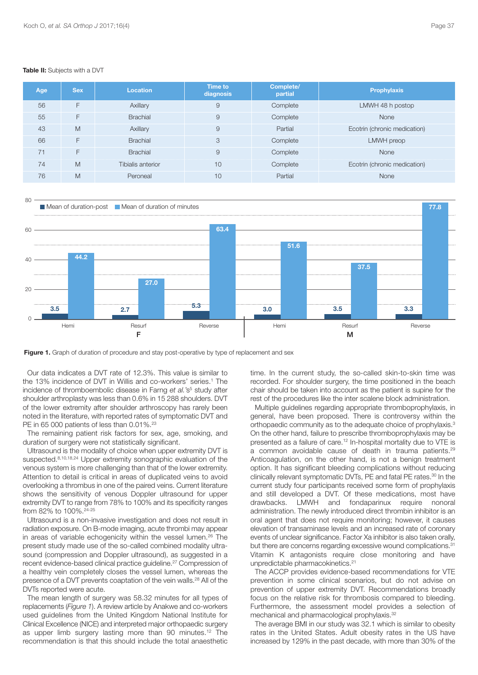| Age | <b>Sex</b> | <b>Location</b>   | Time to<br>diagnosis | Complete/<br>partial | <b>Prophylaxis</b>           |
|-----|------------|-------------------|----------------------|----------------------|------------------------------|
| 56  | F          | Axillary          | 9                    | Complete             | LMWH 48 h postop             |
| 55  | F          | <b>Brachial</b>   | 9                    | Complete             | None                         |
| 43  | M          | Axillary          | 9                    | Partial              | Ecotrin (chronic medication) |
| 66  | F          | <b>Brachial</b>   | 3                    | Complete             | LMWH preop                   |
| 71  | F          | <b>Brachial</b>   | 9                    | Complete             | None                         |
| 74  | M          | Tibialis anterior | 10                   | Complete             | Ecotrin (chronic medication) |
| 76  | M          | Peroneal          | 10                   | Partial              | None                         |

#### **Table II:** Subjects with a DVT





**Figure 1.** Graph of duration of procedure and stay post-operative by type of replacement and sex

Our data indicates a DVT rate of 12.3%. This value is similar to the 13% incidence of DVT in Willis and co-workers' series. <sup>1</sup> The incidence of thromboembolic disease in Farng *et al.* 's<sup>5</sup> study after shoulder arthroplasty was less than 0.6% in 15 288 shoulders. DVT of the lower extremity after shoulder arthroscopy has rarely been noted in the literature, with reported rates of symptomatic DVT and PE in 65 000 patients of less than 0.01%.<sup>23</sup>

The remaining patient risk factors for sex, age, smoking, and duration of surgery were not statistically significant.

Ultrasound is the modality of choice when upper extremity DVT is suspected.<sup>8,10,18,24</sup> Upper extremity sonographic evaluation of the venous system is more challenging than that of the lower extremity. Attention to detail is critical in areas of duplicated veins to avoid overlooking a thrombus in one of the paired veins. Current literature shows the sensitivity of venous Doppler ultrasound for upper extremity DVT to range from 78% to 100% and its specificity ranges from 82% to 100%. 24-25

Ultrasound is a non-invasive investigation and does not result in radiation exposure. On B-mode imaging, acute thrombi may appear in areas of variable echogenicity within the vessel lumen. <sup>26</sup> The present study made use of the so-called combined modality ultrasound (compression and Doppler ultrasound), as suggested in a recent evidence-based clinical practice guideline. <sup>27</sup> Compression of a healthy vein completely closes the vessel lumen, whereas the presence of a DVT prevents coaptation of the vein walls. <sup>28</sup> All of the DVTs reported were acute.

The mean length of surgery was 58.32 minutes for all types of replacements (*Figure 1*). A review article by Anakwe and co-workers used guidelines from the United Kingdom National Institute for Clinical Excellence (NICE) and interpreted major orthopaedic surgery as upper limb surgery lasting more than 90 minutes. <sup>12</sup> The recommendation is that this should include the total anaesthetic time. In the current study, the so-called skin-to-skin time was recorded. For shoulder surgery, the time positioned in the beach chair should be taken into account as the patient is supine for the rest of the procedures like the inter scalene block administration.

Multiple guidelines regarding appropriate thromboprophylaxis, in general, have been proposed. There is controversy within the orthopaedic community as to the adequate choice of prophylaxis.<sup>3</sup> On the other hand, failure to prescribe thromboprophylaxis may be presented as a failure of care. <sup>12</sup> In-hospital mortality due to VTE is a common avoidable cause of death in trauma patients.<sup>29</sup> Anticoagulation, on the other hand, is not a benign treatment option. It has significant bleeding complications without reducing clinically relevant symptomatic DVTs, PE and fatal PE rates. <sup>30</sup> In the current study four participants received some form of prophylaxis and still developed a DVT. Of these medications, most have drawbacks. LMWH and fondaparinux require nonoral administration. The newly introduced direct thrombin inhibitor is an oral agent that does not require monitoring; however, it causes elevation of transaminase levels and an increased rate of coronary events of unclear significance. Factor Xa inhibitor is also taken orally, but there are concerns regarding excessive wound complications.<sup>31</sup> Vitamin K antagonists require close monitoring and have unpredictable pharmacokinetics. 21

The ACCP provides evidence-based recommendations for VTE prevention in some clinical scenarios, but do not advise on prevention of upper extremity DVT. Recommendations broadly focus on the relative risk for thrombosis compared to bleeding. Furthermore, the assessment model provides a selection of mechanical and pharmacological prophylaxis.<sup>32</sup>

The average BMI in our study was 32.1 which is similar to obesity rates in the United States. Adult obesity rates in the US have increased by 129% in the past decade, with more than 30% of the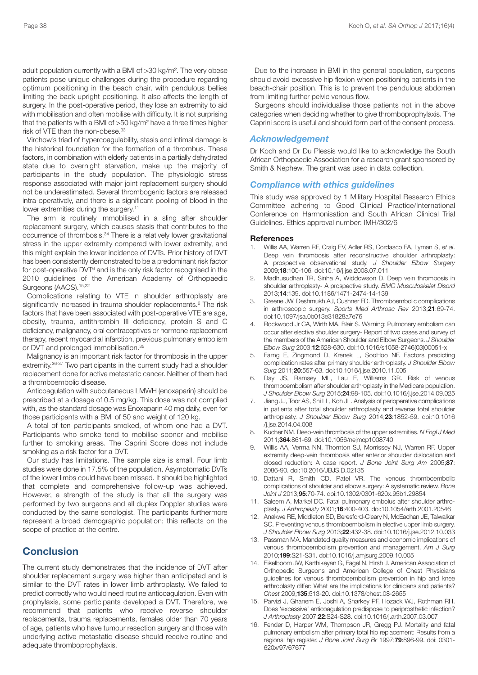adult population currently with a BMI of >30 kg/m². The very obese patients pose unique challenges during the procedure regarding optimum positioning in the beach chair, with pendulous bellies limiting the back upright positioning. It also affects the length of surgery. In the post-operative period, they lose an extremity to aid with mobilisation and often mobilise with difficulty. It is not surprising that the patients with a BMI of >50 kg/m² have a three times higher risk of VTE than the non-obese.<sup>33</sup>

Virchow's triad of hypercoagulability, stasis and intimal damage is the historical foundation for the formation of a thrombus. These factors, in combination with elderly patients in a partially dehydrated state due to overnight starvation, make up the majority of participants in the study population. The physiologic stress response associated with major joint replacement surgery should not be underestimated. Several thrombogenic factors are released intra-operatively, and there is a significant pooling of blood in the lower extremities during the surgery.<sup>11</sup>

The arm is routinely immobilised in a sling after shoulder replacement surgery, which causes stasis that contributes to the occurrence of thrombosis. <sup>34</sup> There is a relatively lower gravitational stress in the upper extremity compared with lower extremity, and this might explain the lower incidence of DVTs. Prior history of DVT has been consistently demonstrated to be a predominant risk factor for post-operative DVT<sup>6</sup> and is the only risk factor recognised in the 2010 guidelines of the American Academy of Orthopaedic Surgeons (AAOS). 15,22

Complications relating to VTE in shoulder arthroplasty are significantly increased in trauma shoulder replacements. <sup>6</sup> The risk factors that have been associated with post-operative VTE are age, obesity, trauma, antithrombin III deficiency, protein S and C deficiency, malignancy, oral contraceptives or hormone replacement therapy, recent myocardial infarction, previous pulmonary embolism or DVT and prolonged immobilisation. 35

Malignancy is an important risk factor for thrombosis in the upper extremity.<sup>36-37</sup> Two participants in the current study had a shoulder replacement done for active metastatic cancer. Neither of them had a thromboembolic disease.

Anticoagulation with subcutaneous LMWH (enoxaparin) should be prescribed at a dosage of 0.5 mg/kg. This dose was not complied with, as the standard dosage was Enoxaparin 40 mg daily, even for those participants with a BMI of 50 and weight of 120 kg.

A total of ten participants smoked, of whom one had a DVT. Participants who smoke tend to mobilise sooner and mobilise further to smoking areas. The Caprini Score does not include smoking as a risk factor for a DVT.

Our study has limitations. The sample size is small. Four limb studies were done in 17.5% of the population. Asymptomatic DVTs of the lower limbs could have been missed. It should be highlighted that complete and comprehensive follow-up was achieved. However, a strength of the study is that all the surgery was performed by two surgeons and all duplex Doppler studies were conducted by the same sonologist. The participants furthermore represent a broad demographic population; this reflects on the scope of practice at the centre.

# **Conclusion**

The current study demonstrates that the incidence of DVT after shoulder replacement surgery was higher than anticipated and is similar to the DVT rates in lower limb arthroplasty. We failed to predict correctly who would need routine anticoagulation. Even with prophylaxis, some participants developed a DVT. Therefore, we recommend that patients who receive reverse shoulder replacements, trauma replacements, females older than 70 years of age, patients who have tumour resection surgery and those with underlying active metastatic disease should receive routine and adequate thromboprophylaxis.

Due to the increase in BMI in the general population, surgeons should avoid excessive hip flexion when positioning patients in the beach-chair position. This is to prevent the pendulous abdomen from limiting further pelvic venous flow.

Surgeons should individualise those patients not in the above categories when deciding whether to give thromboprophylaxis. The Caprini score is useful and should form part of the consent process.

#### *Acknowledgement*

Dr Koch and Dr Du Plessis would like to acknowledge the South African Orthopaedic Association for a research grant sponsored by Smith & Nephew. The grant was used in data collection.

#### *Compliance with ethics guidelines*

This study was approved by 1 Military Hospital Research Ethics Committee adhering to Good Clinical Practice/International Conference on Harmonisation and South African Clinical Trial Guidelines. Ethics approval number: IMH/302/6

#### **References**

- 1. Willis AA, Warren RF, Craig EV, Adler RS, Cordasco FA, Lyman S, *et al*. Deep vein thrombosis after reconstructive shoulder arthroplasty: A prospective observational study. *J Shoulder Elbow Surgery* 2009;**18**:100-106. doi:10.16/j.jse.2008.07.011
- 2. Madhusudhan TR, Sinha A, Widdowson D. Deep vein thrombosis in shoulder arthroplasty- A prospective study. *BMC Musculoskelet Disord* 2013;**14**:139. doi:10.1186/1471-2474-14-139
- 3. Greene JW, Deshmukh AJ, Cushner FD. Thromboembolic complications in arthroscopic surgery. *Sports Med Arthrosc Rev* 2013;**21**:69-74. doi:10.1097/jsa.0b013e31828a7e76
- 4. Rockwood Jr CA, Wirth MA, Blair S. Warning: Pulmonary embolism can occur after elective shoulder surgery- Report of two cases and survey of the members of the American Shoulder and Elbow Surgeons. *J Shoulder Elbow Surg* 2003;**12**:628-630. doi:10.1016/s1058-2746(03)00051-x
- 5. Farng E, Zingmond D, Krenek L, SooHoo NF. Factors predicting complication rates after primary shoulder arthroplasty. *J Shoulder Elbow Surg* 2011;**20**:557-63. doi:10.1016/j.jse.2010.11.005
- 6. Day JS, Ramsey ML, Lau E, Williams GR. Risk of venous thromboembolism after shoulder arthroplasty in the Medicare population. *J Shoulder Elbow Surg* 2015;**24**:98-105. doi:10.1016/j.jse.2014.09.025
- 7. Jiang JJ, Toor AS, Shi LL, Koh JL. Analysis of perioperative complications in patients after total shoulder arthroplasty and reverse total shoulder arthroplasty. *J Shoulder Elbow Surg* 2014;**23**:1852-59. doi:10.1016 /j.jse.2014.04.008
- 8. Kucher NM. Deep-vein thrombosis of the upper extremities. *N Engl J Med* 2011;**364**:861-69. doi:10.1056/nejmcp1008740
- 9. Willis AA, Verma NN, Thornton SJ, Morrissey NJ, Warren RF. Upper extremity deep-vein thrombosis after anterior shoulder dislocation and closed reduction: A case report. *J Bone Joint Surg Am* 2005;**87**: 2086-90. doi:10.2016/JBJS.D.02135
- 10. Dattani R, Smith CD, Patel VR. The venous thromboembolic complications of shoulder and elbow surgery: A systematic review. *Bone Joint J* 2013;**95**:70-74. doi:10.1302/0301-620x.95b1.29854
- 11. Saleem A, Markel DC. Fatal pulmonary embolus after shoulder arthroplasty. *J Arthroplasty* 2001;**16**:400-403. doi:10.1054/arth.2001.20546
- 12. Anakwe RE, Middleton SD, Beresford-Cleary N, McEachan JE, Talwalkar SC. Preventing venous thromboembolism in elective upper limb surgery. *J Shoulder Elbow Surg* 2013;**22**:432-38. doi:10.1016/j.jse.2012.10.033
- 13. Passman MA. Mandated quality measures and economic implications of venous thromboembolism prevention and management. *Am J Surg* 2010;**199**:S21-S31. doi:10.1016/j.amjsurg.2009.10.005
- 14. Eikelboom JW, Karthikeyan G, Fagel N, Hirsh J, American Association of Orthopedic Surgeons and American College of Chest Physicians guidelines for venous thromboembolism prevention in hip and knee arthroplasty differ: What are the implications for clinicians and patients? *Chest* 2009;**135**:513-20. doi:10.1378/chest.08-2655
- 15. Parvizi J, Ghanem E, Joshi A, Sharkey PF, Hozack WJ, Rothman RH. Does 'excessive' anticoagulation predispose to periprosthetic infection? *J Arthroplasty* 2007;**22**:S24-S28. doi:10.1016/j.arth.2007.03.007
- 16. Fender D, Harper WM, Thompson JR, Gregg PJ. Mortality and fatal pulmonary embolism after primary total hip replacement: Results from a regional hip register. *J Bone Joint Surg Br* 1997;**79**:896-99. doi: 0301- 620x/97/67677